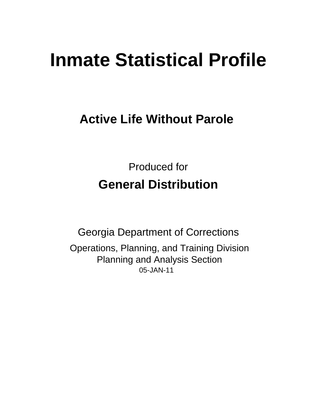# **Inmate Statistical Profile**

## **Active Life Without Parole**

**Produced for General Distribution** 

**Georgia Department of Corrections** Operations, Planning, and Training Division **Planning and Analysis Section** 05-JAN-11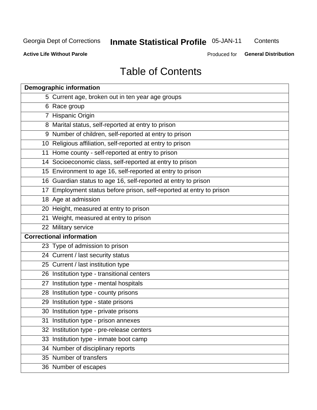## **Inmate Statistical Profile 05-JAN-11**

Contents

**Active Life Without Parole** 

**General Distribution** Produced for

## **Table of Contents**

| <b>Demographic information</b>                                       |
|----------------------------------------------------------------------|
| 5 Current age, broken out in ten year age groups                     |
| 6 Race group                                                         |
| 7 Hispanic Origin                                                    |
| 8 Marital status, self-reported at entry to prison                   |
| 9 Number of children, self-reported at entry to prison               |
| 10 Religious affiliation, self-reported at entry to prison           |
| 11 Home county - self-reported at entry to prison                    |
| 14 Socioeconomic class, self-reported at entry to prison             |
| 15 Environment to age 16, self-reported at entry to prison           |
| 16 Guardian status to age 16, self-reported at entry to prison       |
| 17 Employment status before prison, self-reported at entry to prison |
| 18 Age at admission                                                  |
| 20 Height, measured at entry to prison                               |
| 21 Weight, measured at entry to prison                               |
| 22 Military service                                                  |
| <b>Correctional information</b>                                      |
| 23 Type of admission to prison                                       |
| 24 Current / last security status                                    |
| 25 Current / last institution type                                   |
| 26 Institution type - transitional centers                           |
| 27 Institution type - mental hospitals                               |
| 28 Institution type - county prisons                                 |
| 29 Institution type - state prisons                                  |
| 30 Institution type - private prisons                                |
| 31 Institution type - prison annexes                                 |
| 32 Institution type - pre-release centers                            |
| 33 Institution type - inmate boot camp                               |
| 34 Number of disciplinary reports                                    |
| 35 Number of transfers                                               |
| 36 Number of escapes                                                 |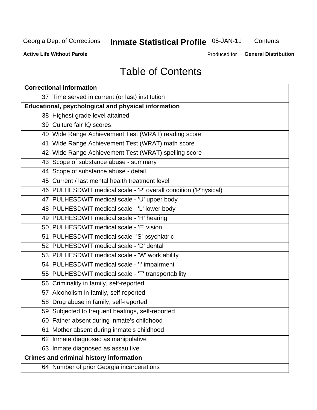## **Inmate Statistical Profile 05-JAN-11**

Contents

**Active Life Without Parole** 

Produced for **General Distribution** 

## **Table of Contents**

| <b>Correctional information</b>                                  |  |  |  |  |  |  |  |
|------------------------------------------------------------------|--|--|--|--|--|--|--|
| 37 Time served in current (or last) institution                  |  |  |  |  |  |  |  |
| Educational, psychological and physical information              |  |  |  |  |  |  |  |
| 38 Highest grade level attained                                  |  |  |  |  |  |  |  |
| 39 Culture fair IQ scores                                        |  |  |  |  |  |  |  |
| 40 Wide Range Achievement Test (WRAT) reading score              |  |  |  |  |  |  |  |
| 41 Wide Range Achievement Test (WRAT) math score                 |  |  |  |  |  |  |  |
| 42 Wide Range Achievement Test (WRAT) spelling score             |  |  |  |  |  |  |  |
| 43 Scope of substance abuse - summary                            |  |  |  |  |  |  |  |
| 44 Scope of substance abuse - detail                             |  |  |  |  |  |  |  |
| 45 Current / last mental health treatment level                  |  |  |  |  |  |  |  |
| 46 PULHESDWIT medical scale - 'P' overall condition ('P'hysical) |  |  |  |  |  |  |  |
| 47 PULHESDWIT medical scale - 'U' upper body                     |  |  |  |  |  |  |  |
| 48 PULHESDWIT medical scale - 'L' lower body                     |  |  |  |  |  |  |  |
| 49 PULHESDWIT medical scale - 'H' hearing                        |  |  |  |  |  |  |  |
| 50 PULHESDWIT medical scale - 'E' vision                         |  |  |  |  |  |  |  |
| 51 PULHESDWIT medical scale -'S' psychiatric                     |  |  |  |  |  |  |  |
| 52 PULHESDWIT medical scale - 'D' dental                         |  |  |  |  |  |  |  |
| 53 PULHESDWIT medical scale - 'W' work ability                   |  |  |  |  |  |  |  |
| 54 PULHESDWIT medical scale - 'I' impairment                     |  |  |  |  |  |  |  |
| 55 PULHESDWIT medical scale - 'T' transportability               |  |  |  |  |  |  |  |
| 56 Criminality in family, self-reported                          |  |  |  |  |  |  |  |
| 57 Alcoholism in family, self-reported                           |  |  |  |  |  |  |  |
| 58 Drug abuse in family, self-reported                           |  |  |  |  |  |  |  |
| 59 Subjected to frequent beatings, self-reported                 |  |  |  |  |  |  |  |
| 60 Father absent during inmate's childhood                       |  |  |  |  |  |  |  |
| Mother absent during inmate's childhood<br>61                    |  |  |  |  |  |  |  |
| 62 Inmate diagnosed as manipulative                              |  |  |  |  |  |  |  |
| 63 Inmate diagnosed as assaultive                                |  |  |  |  |  |  |  |
| <b>Crimes and criminal history information</b>                   |  |  |  |  |  |  |  |
| 64 Number of prior Georgia incarcerations                        |  |  |  |  |  |  |  |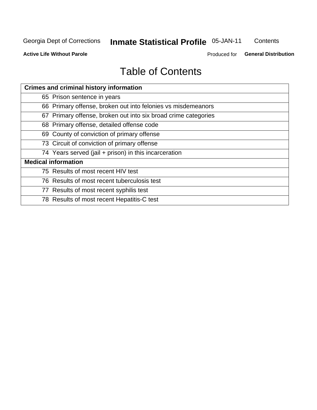## **Inmate Statistical Profile 05-JAN-11**

Contents

**Active Life Without Parole** 

**General Distribution** Produced for

## **Table of Contents**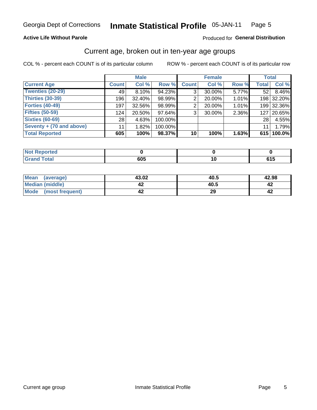#### **Inmate Statistical Profile 05-JAN-11** Page 5

### **Active Life Without Parole**

### Produced for General Distribution

### Current age, broken out in ten-year age groups

COL % - percent each COUNT is of its particular column

|                          |              | <b>Male</b> |         |              | <b>Female</b> |       |              | <b>Total</b> |
|--------------------------|--------------|-------------|---------|--------------|---------------|-------|--------------|--------------|
| <b>Current Age</b>       | <b>Count</b> | Col %       | Row %   | <b>Count</b> | Col %         | Row % | <b>Total</b> | Col %        |
| <b>Twenties (20-29)</b>  | 49           | 8.10%       | 94.23%  | 3            | 30.00%        | 5.77% | 52           | 8.46%        |
| Thirties (30-39)         | 196          | 32.40%      | 98.99%  | 2            | 20.00%        | 1.01% |              | 198 32.20%   |
| <b>Forties (40-49)</b>   | 197          | 32.56%      | 98.99%  | 2            | 20.00%        | 1.01% |              | 199 32.36%   |
| <b>Fifties (50-59)</b>   | 124          | 20.50%      | 97.64%  | 3            | 30.00%        | 2.36% | 127          | 20.65%       |
| <b>Sixties (60-69)</b>   | 28           | 4.63%       | 100.00% |              |               |       | 28           | 4.55%        |
| Seventy + (70 and above) | 11           | 1.82%       | 100.00% |              |               |       | 11           | 1.79%        |
| <b>Total Reported</b>    | 605          | 100%        | 98.37%  | 10           | 100%          | 1.63% |              | 615 100.0%   |

| ortea<br>1101110 |     |  |
|------------------|-----|--|
| Utal<br>_____    | 605 |  |

| <b>Mean</b><br>(average) | 43.02     | 40.5 | 42.98 |
|--------------------------|-----------|------|-------|
| Median (middle)          | <b>44</b> | 40.5 | 44    |
| Mode<br>(most frequent)  | -14       | 29   | 4∡    |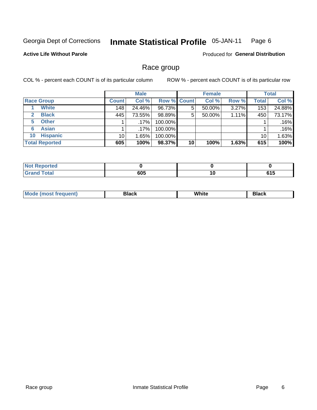#### **Inmate Statistical Profile 05-JAN-11** Page 6

### **Active Life Without Parole**

**Produced for General Distribution** 

### Race group

COL % - percent each COUNT is of its particular column

|                              | <b>Male</b>     |         |                    | <b>Female</b> |        |       | <b>Total</b> |        |
|------------------------------|-----------------|---------|--------------------|---------------|--------|-------|--------------|--------|
| <b>Race Group</b>            | <b>Count</b>    | Col %   | <b>Row % Count</b> |               | Col %  | Row % | <b>Total</b> | Col %  |
| <b>White</b>                 | 148             | 24.46%  | 96.73%             | 5             | 50.00% | 3.27% | 153          | 24.88% |
| <b>Black</b><br>$\mathbf{2}$ | 445             | 73.55%  | 98.89%             | 5             | 50.00% | 1.11% | 450          | 73.17% |
| <b>Other</b><br>5.           |                 | $.17\%$ | 100.00%            |               |        |       |              | .16%   |
| <b>Asian</b><br>6            |                 | $.17\%$ | 100.00%            |               |        |       |              | .16%   |
| <b>Hispanic</b><br>10        | 10 <sub>1</sub> | 1.65%   | 100.00%            |               |        |       | 10           | 1.63%  |
| <b>Total Reported</b>        | 605             | 100%    | 98.37%             | 10            | 100%   | 1.63% | 615          | 100%   |

| <b>orted</b>          |              |                            |
|-----------------------|--------------|----------------------------|
| <b>Total</b><br>_____ | 605<br>- - - | <b>AIF</b><br>u I J<br>- - |

| M | .<br>w | Piasn |
|---|--------|-------|
|   |        |       |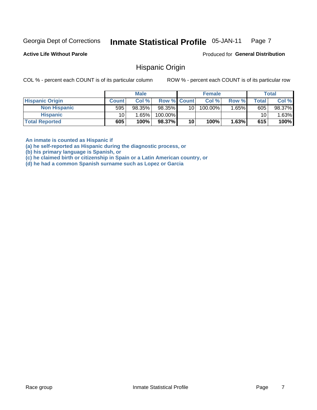#### Inmate Statistical Profile 05-JAN-11 Page 7

**Active Life Without Parole** 

Produced for General Distribution

### **Hispanic Origin**

COL % - percent each COUNT is of its particular column

ROW % - percent each COUNT is of its particular row

|                        |              | <b>Male</b> |                    |    | <b>Female</b> |       |       | <b>Total</b> |
|------------------------|--------------|-------------|--------------------|----|---------------|-------|-------|--------------|
| <b>Hispanic Origin</b> | <b>Count</b> | Col %       | <b>Row % Count</b> |    | Col %         | Row % | Total | Col %        |
| <b>Non Hispanic</b>    | 595          | 98.35%      | 98.35%             | 10 | 100.00%       | 1.65% | 605   | 98.37%       |
| <b>Hispanic</b>        | 10           | 1.65%       | 100.00%            |    |               |       | 10    | .63%         |
| <b>Total Reported</b>  | 605          | 100%        | 98.37%             | 10 | 100%          | 1.63% | 615   | 100%         |

An inmate is counted as Hispanic if

(a) he self-reported as Hispanic during the diagnostic process, or

(b) his primary language is Spanish, or

(c) he claimed birth or citizenship in Spain or a Latin American country, or

(d) he had a common Spanish surname such as Lopez or Garcia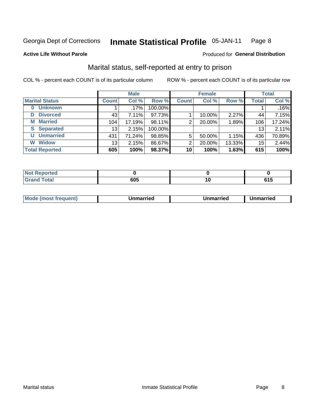#### **Inmate Statistical Profile 05-JAN-11** Page 8

### **Active Life Without Parole**

### Produced for General Distribution

### Marital status, self-reported at entry to prison

COL % - percent each COUNT is of its particular column

|                            | <b>Male</b>  |         |         | <b>Female</b> |        |        | <b>Total</b> |        |
|----------------------------|--------------|---------|---------|---------------|--------|--------|--------------|--------|
| <b>Marital Status</b>      | <b>Count</b> | Col %   | Row %   | <b>Count</b>  | Col %  | Row %  | <b>Total</b> | Col %  |
| <b>Unknown</b><br>$\bf{0}$ |              | $.17\%$ | 100.00% |               |        |        |              | .16%   |
| <b>Divorced</b><br>D       | 43           | 7.11%   | 97.73%  |               | 10.00% | 2.27%  | 44           | 7.15%  |
| <b>Married</b><br>М        | 104          | 17.19%  | 98.11%  | 2             | 20.00% | 1.89%  | 106          | 17.24% |
| <b>Separated</b><br>S      | 13           | 2.15%   | 100.00% |               |        |        | 13           | 2.11%  |
| <b>Unmarried</b><br>U      | 431          | 71.24%  | 98.85%  | 5             | 50.00% | 1.15%  | 436          | 70.89% |
| <b>Widow</b><br>W          | 13           | 2.15%   | 86.67%  | 2             | 20.00% | 13.33% | 15           | 2.44%  |
| <b>Total Reported</b>      | 605          | 100%    | 98.37%  | 10            | 100%   | 1.63%  | 615          | 100%   |

| <b>Not Reported</b><br>. <b>.</b> |            |    |                   |
|-----------------------------------|------------|----|-------------------|
| <b>Total</b><br>. .               | <b>COF</b> | ιu | <b>CAF</b><br>,,, |

|--|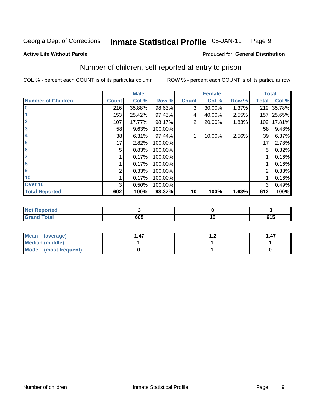#### **Inmate Statistical Profile 05-JAN-11** Page 9

Produced for General Distribution

### **Active Life Without Parole**

## Number of children, self reported at entry to prison

COL % - percent each COUNT is of its particular column

|                           |              | <b>Male</b> |         |              | <b>Female</b> |       | <b>Total</b> |        |
|---------------------------|--------------|-------------|---------|--------------|---------------|-------|--------------|--------|
| <b>Number of Children</b> | <b>Count</b> | Col %       | Row %   | <b>Count</b> | Col %         | Row % | <b>Total</b> | Col %  |
| $\bf{0}$                  | 216          | 35.88%      | 98.63%  | 3            | 30.00%        | 1.37% | 219          | 35.78% |
|                           | 153          | 25.42%      | 97.45%  | 4            | 40.00%        | 2.55% | 157          | 25.65% |
| $\overline{2}$            | 107          | 17.77%      | 98.17%  | 2            | 20.00%        | 1.83% | 109          | 17.81% |
| 3                         | 58           | 9.63%       | 100.00% |              |               |       | 58           | 9.48%  |
| 4                         | 38           | 6.31%       | 97.44%  |              | 10.00%        | 2.56% | 39           | 6.37%  |
| 5                         | 17           | 2.82%       | 100.00% |              |               |       | 17           | 2.78%  |
| 6                         | 5            | 0.83%       | 100.00% |              |               |       | 5            | 0.82%  |
| 7                         |              | 0.17%       | 100.00% |              |               |       |              | 0.16%  |
| 8                         |              | 0.17%       | 100.00% |              |               |       |              | 0.16%  |
| $\boldsymbol{9}$          | 2            | 0.33%       | 100.00% |              |               |       | 2            | 0.33%  |
| 10                        |              | 0.17%       | 100.00% |              |               |       |              | 0.16%  |
| Over 10                   | 3            | 0.50%       | 100.00% |              |               |       | 3            | 0.49%  |
| <b>Total Reported</b>     | 602          | 100%        | 98.37%  | 10           | 100%          | 1.63% | 612          | 100%   |

| لمنتشر بالتعبين<br>rtea<br>NOT                  |             |                 |
|-------------------------------------------------|-------------|-----------------|
| $T0$ tol<br>$\sim$ $\sim$ $\sim$ $\sim$<br>υιαι | 88 F<br>งบว | ---<br>.<br>UIJ |

| Mean (average)       | . 47 | . .47 |
|----------------------|------|-------|
| Median (middle)      |      |       |
| Mode (most frequent) |      |       |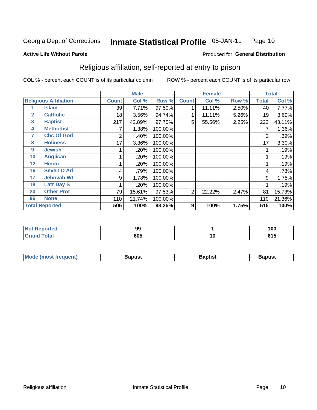#### **Inmate Statistical Profile 05-JAN-11** Page 10

### **Active Life Without Parole**

### Produced for General Distribution

### Religious affiliation, self-reported at entry to prison

COL % - percent each COUNT is of its particular column

|              |                              |              | <b>Male</b> |         |                | <b>Female</b> |       |              | <b>Total</b> |
|--------------|------------------------------|--------------|-------------|---------|----------------|---------------|-------|--------------|--------------|
|              | <b>Religious Affiliation</b> | <b>Count</b> | Col %       | Row %   | <b>Count</b>   | Col %         | Row % | <b>Total</b> | Col %        |
|              | Islam                        | 39           | 7.71%       | 97.50%  |                | 11.11%        | 2.50% | 40           | 7.77%        |
| $\mathbf{2}$ | <b>Catholic</b>              | 18           | 3.56%       | 94.74%  |                | 11.11%        | 5.26% | 19           | 3.69%        |
| 3            | <b>Baptist</b>               | 217          | 42.89%      | 97.75%  | 5              | 55.56%        | 2.25% | 222          | 43.11%       |
| 4            | <b>Methodist</b>             |              | 1.38%       | 100.00% |                |               |       |              | 1.36%        |
| 7            | <b>Chc Of God</b>            | 2            | .40%        | 100.00% |                |               |       | 2            | .39%         |
| 8            | <b>Holiness</b>              | 17           | 3.36%       | 100.00% |                |               |       | 17           | 3.30%        |
| 9            | <b>Jewish</b>                |              | .20%        | 100.00% |                |               |       |              | .19%         |
| 10           | <b>Anglican</b>              |              | .20%        | 100.00% |                |               |       |              | .19%         |
| 12           | <b>Hindu</b>                 |              | .20%        | 100.00% |                |               |       |              | .19%         |
| 16           | <b>Seven D Ad</b>            | 4            | .79%        | 100.00% |                |               |       | 4            | .78%         |
| 17           | <b>Jehovah Wt</b>            | 9            | 1.78%       | 100.00% |                |               |       | 9            | 1.75%        |
| 18           | <b>Latr Day S</b>            |              | .20%        | 100.00% |                |               |       |              | .19%         |
| 20           | <b>Other Prot</b>            | 79           | 15.61%      | 97.53%  | $\overline{2}$ | 22.22%        | 2.47% | 81           | 15.73%       |
| 96           | <b>None</b>                  | 110          | 21.74%      | 100.00% |                |               |       | 110          | 21.36%       |
|              | <b>Total Reported</b>        | 506          | 100%        | 98.25%  | 9              | 100%          | 1.75% | 515          | 100%         |

| prtea<br>.<br>$\sim$ | --<br>IJJ |    | 100     |
|----------------------|-----------|----|---------|
| _____                | 605       | טו | <b></b> |

| Mode (most frequent) | Baptist | <b>Baptist</b> | aptıst |
|----------------------|---------|----------------|--------|
|                      |         |                |        |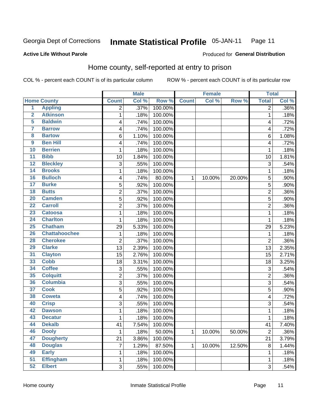#### **Inmate Statistical Profile 05-JAN-11** Page 11

### **Active Life Without Parole**

### Produced for General Distribution

### Home county, self-reported at entry to prison

COL % - percent each COUNT is of its particular column

|                         |                      |                | <b>Male</b> |         |              | <b>Female</b> |        | <b>Total</b>   |       |
|-------------------------|----------------------|----------------|-------------|---------|--------------|---------------|--------|----------------|-------|
|                         | <b>Home County</b>   | <b>Count</b>   | Col %       | Row %   | <b>Count</b> | Col %         | Row %  | <b>Total</b>   | Col % |
| 1                       | <b>Appling</b>       | 2              | .37%        | 100.00% |              |               |        | 2              | .36%  |
| $\overline{2}$          | <b>Atkinson</b>      | 1              | .18%        | 100.00% |              |               |        | 1              | .18%  |
| 5                       | <b>Baldwin</b>       | 4              | .74%        | 100.00% |              |               |        | 4              | .72%  |
| 7                       | <b>Barrow</b>        | 4              | .74%        | 100.00% |              |               |        | 4              | .72%  |
| $\overline{\mathbf{8}}$ | <b>Bartow</b>        | 6              | 1.10%       | 100.00% |              |               |        | 6              | 1.08% |
| $\boldsymbol{9}$        | <b>Ben Hill</b>      | 4              | .74%        | 100.00% |              |               |        | $\overline{4}$ | .72%  |
| 10                      | <b>Berrien</b>       | 1              | .18%        | 100.00% |              |               |        | 1              | .18%  |
| $\overline{11}$         | <b>Bibb</b>          | 10             | 1.84%       | 100.00% |              |               |        | 10             | 1.81% |
| $\overline{12}$         | <b>Bleckley</b>      | 3              | .55%        | 100.00% |              |               |        | 3              | .54%  |
| 14                      | <b>Brooks</b>        | 1              | .18%        | 100.00% |              |               |        | 1              | .18%  |
| 16                      | <b>Bulloch</b>       | 4              | .74%        | 80.00%  | 1            | 10.00%        | 20.00% | 5              | .90%  |
| $\overline{17}$         | <b>Burke</b>         | 5              | .92%        | 100.00% |              |               |        | 5              | .90%  |
| $\overline{18}$         | <b>Butts</b>         | $\overline{c}$ | .37%        | 100.00% |              |               |        | $\overline{2}$ | .36%  |
| 20                      | <b>Camden</b>        | 5              | .92%        | 100.00% |              |               |        | 5              | .90%  |
| $\overline{22}$         | <b>Carroll</b>       | $\overline{c}$ | .37%        | 100.00% |              |               |        | $\overline{2}$ | .36%  |
| 23                      | <b>Catoosa</b>       | 1              | .18%        | 100.00% |              |               |        | 1              | .18%  |
| $\overline{24}$         | <b>Charlton</b>      | 1              | .18%        | 100.00% |              |               |        | 1              | .18%  |
| 25                      | <b>Chatham</b>       | 29             | 5.33%       | 100.00% |              |               |        | 29             | 5.23% |
| 26                      | <b>Chattahoochee</b> | 1              | .18%        | 100.00% |              |               |        | 1              | .18%  |
| 28                      | <b>Cherokee</b>      | $\overline{2}$ | .37%        | 100.00% |              |               |        | $\overline{2}$ | .36%  |
| 29                      | <b>Clarke</b>        | 13             | 2.39%       | 100.00% |              |               |        | 13             | 2.35% |
| 31                      | <b>Clayton</b>       | 15             | 2.76%       | 100.00% |              |               |        | 15             | 2.71% |
| 33                      | <b>Cobb</b>          | 18             | 3.31%       | 100.00% |              |               |        | 18             | 3.25% |
| 34                      | <b>Coffee</b>        | 3              | .55%        | 100.00% |              |               |        | 3              | .54%  |
| 35                      | <b>Colquitt</b>      | 2              | .37%        | 100.00% |              |               |        | $\overline{2}$ | .36%  |
| 36                      | <b>Columbia</b>      | 3              | .55%        | 100.00% |              |               |        | 3              | .54%  |
| $\overline{37}$         | <b>Cook</b>          | 5              | .92%        | 100.00% |              |               |        | 5              | .90%  |
| 38                      | <b>Coweta</b>        | 4              | .74%        | 100.00% |              |               |        | 4              | .72%  |
| 40                      | <b>Crisp</b>         | 3              | .55%        | 100.00% |              |               |        | 3              | .54%  |
| 42                      | <b>Dawson</b>        | 1              | .18%        | 100.00% |              |               |        | 1              | .18%  |
| 43                      | <b>Decatur</b>       | 1              | .18%        | 100.00% |              |               |        | 1              | .18%  |
| 44                      | <b>Dekalb</b>        | 41             | 7.54%       | 100.00% |              |               |        | 41             | 7.40% |
| 46                      | <b>Dooly</b>         | 1              | .18%        | 50.00%  | $\mathbf{1}$ | 10.00%        | 50.00% | $\overline{2}$ | .36%  |
| 47                      | <b>Dougherty</b>     | 21             | 3.86%       | 100.00% |              |               |        | 21             | 3.79% |
| 48                      | <b>Douglas</b>       | 7              | 1.29%       | 87.50%  | 1            | 10.00%        | 12.50% | $\bf 8$        | 1.44% |
| 49                      | <b>Early</b>         | 1              | .18%        | 100.00% |              |               |        | 1              | .18%  |
| 51                      | <b>Effingham</b>     | 1              | .18%        | 100.00% |              |               |        | 1              | .18%  |
| 52                      | <b>Elbert</b>        | 3              | .55%        | 100.00% |              |               |        | $\sqrt{3}$     | .54%  |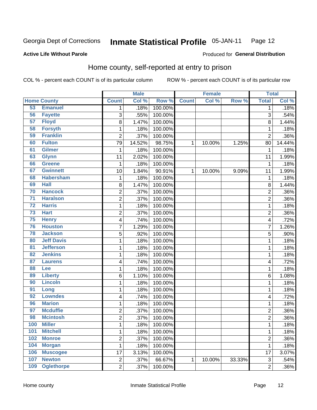#### **Inmate Statistical Profile 05-JAN-11** Page 12

### **Active Life Without Parole**

### Produced for General Distribution

### Home county, self-reported at entry to prison

COL % - percent each COUNT is of its particular column

|                 |                    |                | <b>Male</b> |         |              | <b>Female</b> |        | <b>Total</b>   |         |
|-----------------|--------------------|----------------|-------------|---------|--------------|---------------|--------|----------------|---------|
|                 | <b>Home County</b> | <b>Count</b>   | Col %       | Row %   | <b>Count</b> | Col %         | Row %  | <b>Total</b>   | Col %   |
| 53              | <b>Emanuel</b>     | 1              | .18%        | 100.00% |              |               |        | 1              | .18%    |
| 56              | <b>Fayette</b>     | 3              | .55%        | 100.00% |              |               |        | 3              | .54%    |
| 57              | <b>Floyd</b>       | 8              | 1.47%       | 100.00% |              |               |        | 8              | 1.44%   |
| 58              | <b>Forsyth</b>     | 1              | .18%        | 100.00% |              |               |        | 1              | .18%    |
| 59              | <b>Franklin</b>    | $\overline{2}$ | .37%        | 100.00% |              |               |        | $\overline{2}$ | .36%    |
| 60              | <b>Fulton</b>      | 79             | 14.52%      | 98.75%  | 1            | 10.00%        | 1.25%  | 80             | 14.44%  |
| 61              | <b>Gilmer</b>      | 1              | .18%        | 100.00% |              |               |        | 1              | .18%    |
| 63              | <b>Glynn</b>       | 11             | 2.02%       | 100.00% |              |               |        | 11             | 1.99%   |
| 66              | <b>Greene</b>      | 1              | .18%        | 100.00% |              |               |        | 1              | .18%    |
| 67              | <b>Gwinnett</b>    | 10             | 1.84%       | 90.91%  | 1            | 10.00%        | 9.09%  | 11             | 1.99%   |
| 68              | <b>Habersham</b>   | $\mathbf 1$    | .18%        | 100.00% |              |               |        | 1              | .18%    |
| 69              | <b>Hall</b>        | 8              | 1.47%       | 100.00% |              |               |        | 8              | 1.44%   |
| 70              | <b>Hancock</b>     | $\overline{2}$ | .37%        | 100.00% |              |               |        | $\overline{2}$ | .36%    |
| $\overline{71}$ | <b>Haralson</b>    | $\overline{2}$ | .37%        | 100.00% |              |               |        | $\overline{2}$ | .36%    |
| $\overline{72}$ | <b>Harris</b>      | $\mathbf 1$    | .18%        | 100.00% |              |               |        | 1              | .18%    |
| 73              | <b>Hart</b>        | 2              | .37%        | 100.00% |              |               |        | 2              | .36%    |
| 75              | <b>Henry</b>       | 4              | .74%        | 100.00% |              |               |        | 4              | .72%    |
| 76              | <b>Houston</b>     | $\overline{7}$ | 1.29%       | 100.00% |              |               |        | 7              | 1.26%   |
| 78              | <b>Jackson</b>     | 5              | .92%        | 100.00% |              |               |        | 5              | .90%    |
| 80              | <b>Jeff Davis</b>  | $\mathbf 1$    | .18%        | 100.00% |              |               |        | 1              | .18%    |
| $\overline{81}$ | <b>Jefferson</b>   | $\mathbf 1$    | .18%        | 100.00% |              |               |        | 1              | .18%    |
| 82              | <b>Jenkins</b>     | $\mathbf 1$    | .18%        | 100.00% |              |               |        | 1              | .18%    |
| 87              | <b>Laurens</b>     | 4              | .74%        | 100.00% |              |               |        | 4              | .72%    |
| 88              | Lee                | 1              | .18%        | 100.00% |              |               |        | 1              | .18%    |
| 89              | <b>Liberty</b>     | 6              | 1.10%       | 100.00% |              |               |        | 6              | 1.08%   |
| 90              | <b>Lincoln</b>     | $\mathbf 1$    | .18%        | 100.00% |              |               |        | 1              | .18%    |
| 91              | Long               | $\mathbf 1$    | .18%        | 100.00% |              |               |        | 1              | .18%    |
| 92              | <b>Lowndes</b>     | 4              | .74%        | 100.00% |              |               |        | 4              | .72%    |
| 96              | <b>Marion</b>      | $\mathbf 1$    | .18%        | 100.00% |              |               |        | 1              | .18%    |
| 97              | <b>Mcduffie</b>    | $\overline{c}$ | .37%        | 100.00% |              |               |        | $\overline{2}$ | .36%    |
| 98              | <b>Mcintosh</b>    | $\overline{c}$ | .37%        | 100.00% |              |               |        | $\overline{c}$ | .36%    |
| <b>100</b>      | <b>Miller</b>      | 1              | .18%        | 100.00% |              |               |        | 1              | .18%    |
| 101             | <b>Mitchell</b>    | $\mathbf{1}$   | .18%        | 100.00% |              |               |        | 1              | .18%    |
| 102             | <b>Monroe</b>      | $\overline{c}$ | .37%        | 100.00% |              |               |        | $\overline{c}$ | $.36\%$ |
| 104             | <b>Morgan</b>      | $\mathbf{1}$   | .18%        | 100.00% |              |               |        | 1              | .18%    |
| 106             | <b>Muscogee</b>    | 17             | 3.13%       | 100.00% |              |               |        | 17             | 3.07%   |
| 107             | <b>Newton</b>      | $\overline{2}$ | .37%        | 66.67%  | 1            | 10.00%        | 33.33% | 3              | .54%    |
| 109             | <b>Oglethorpe</b>  | $\overline{2}$ | .37%        | 100.00% |              |               |        | 2              | $.36\%$ |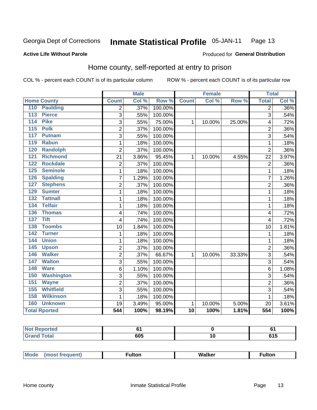#### Inmate Statistical Profile 05-JAN-11 Page 13

### **Active Life Without Parole**

### Produced for General Distribution

### Home county, self-reported at entry to prison

COL % - percent each COUNT is of its particular column

|                                     |                | <b>Male</b> |         |                 | <b>Female</b> |        | <b>Total</b>   |       |
|-------------------------------------|----------------|-------------|---------|-----------------|---------------|--------|----------------|-------|
| <b>Home County</b>                  | <b>Count</b>   | Col %       | Row %   | <b>Count</b>    | Col %         | Row %  | <b>Total</b>   | Col % |
| 110<br><b>Paulding</b>              | $\overline{2}$ | .37%        | 100.00% |                 |               |        | $\overline{2}$ | .36%  |
| 113<br><b>Pierce</b>                | $\overline{3}$ | .55%        | 100.00% |                 |               |        | 3              | .54%  |
| <b>Pike</b><br>114                  | 3              | .55%        | 75.00%  | 1               | 10.00%        | 25.00% | 4              | .72%  |
| 115<br><b>Polk</b>                  | $\overline{c}$ | .37%        | 100.00% |                 |               |        | $\overline{2}$ | .36%  |
| 117<br><b>Putnam</b>                | $\overline{3}$ | .55%        | 100.00% |                 |               |        | 3              | .54%  |
| <b>Rabun</b><br>119                 | $\mathbf{1}$   | .18%        | 100.00% |                 |               |        | 1              | .18%  |
| <b>Randolph</b><br>120              | $\overline{2}$ | .37%        | 100.00% |                 |               |        | $\overline{2}$ | .36%  |
| <b>Richmond</b><br>121              | 21             | 3.86%       | 95.45%  | 1               | 10.00%        | 4.55%  | 22             | 3.97% |
| <b>Rockdale</b><br>122              | $\overline{c}$ | .37%        | 100.00% |                 |               |        | $\overline{2}$ | .36%  |
| 125<br><b>Seminole</b>              | $\mathbf{1}$   | .18%        | 100.00% |                 |               |        | 1              | .18%  |
| <b>Spalding</b><br>126              | $\overline{7}$ | 1.29%       | 100.00% |                 |               |        | $\overline{7}$ | 1.26% |
| <b>Stephens</b><br>127              | 2              | .37%        | 100.00% |                 |               |        | $\overline{2}$ | .36%  |
| 129<br><b>Sumter</b>                | $\mathbf{1}$   | .18%        | 100.00% |                 |               |        | 1              | .18%  |
| <b>Tattnall</b><br>$\overline{132}$ | 1              | .18%        | 100.00% |                 |               |        | 1              | .18%  |
| <b>Telfair</b><br>134               | 1              | .18%        | 100.00% |                 |               |        | 1              | .18%  |
| 136<br><b>Thomas</b>                | 4              | .74%        | 100.00% |                 |               |        | 4              | .72%  |
| <b>Tift</b><br>137                  | 4              | .74%        | 100.00% |                 |               |        | $\overline{4}$ | .72%  |
| <b>Toombs</b><br>138                | 10             | 1.84%       | 100.00% |                 |               |        | 10             | 1.81% |
| 142<br><b>Turner</b>                | 1              | .18%        | 100.00% |                 |               |        | 1              | .18%  |
| <b>Union</b><br>144                 | 1              | .18%        | 100.00% |                 |               |        | 1              | .18%  |
| 145<br><b>Upson</b>                 | $\overline{2}$ | .37%        | 100.00% |                 |               |        | $\overline{2}$ | .36%  |
| <b>Walker</b><br>146                | $\overline{2}$ | .37%        | 66.67%  | $\mathbf{1}$    | 10.00%        | 33.33% | 3              | .54%  |
| 147<br><b>Walton</b>                | 3              | .55%        | 100.00% |                 |               |        | 3              | .54%  |
| <b>Ware</b><br>148                  | 6              | 1.10%       | 100.00% |                 |               |        | 6              | 1.08% |
| <b>Washington</b><br>150            | 3              | .55%        | 100.00% |                 |               |        | 3              | .54%  |
| 151<br><b>Wayne</b>                 | 2              | .37%        | 100.00% |                 |               |        | $\overline{2}$ | .36%  |
| <b>Whitfield</b><br>155             | $\overline{3}$ | .55%        | 100.00% |                 |               |        | 3              | .54%  |
| <b>Wilkinson</b><br>158             | $\mathbf{1}$   | .18%        | 100.00% |                 |               |        | 1              | .18%  |
| 160<br><b>Unknown</b>               | 19             | 3.49%       | 95.00%  | $\mathbf{1}$    | 10.00%        | 5.00%  | 20             | 3.61% |
| <b>Total Rported</b>                | 544            | 100%        | 98.19%  | $\overline{10}$ | 100%          | 1.81%  | 554            | 100%  |

| oorted<br>w |     |    | v               |
|-------------|-----|----|-----------------|
| <b>otal</b> | 605 | יי | .<br><b>v</b> • |

| <b>Mode</b><br>Walker<br>ulton<br>ulton.<br>nos |
|-------------------------------------------------|
|-------------------------------------------------|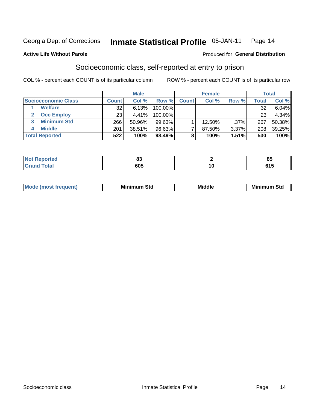#### **Inmate Statistical Profile 05-JAN-11** Page 14

### **Active Life Without Parole**

### Produced for General Distribution

### Socioeconomic class, self-reported at entry to prison

COL % - percent each COUNT is of its particular column

|                       |              | <b>Male</b> |           |              | <b>Female</b> |         |        | <b>Total</b> |
|-----------------------|--------------|-------------|-----------|--------------|---------------|---------|--------|--------------|
| Socioeconomic Class   | <b>Count</b> | Col %       | Row %     | <b>Count</b> | Col %         | Row %   | Total, | Col %        |
| <b>Welfare</b>        | 32           | 6.13%       | 100.00%   |              |               |         | 32     | $6.04\%$     |
| <b>Occ Employ</b>     | 23           | 4.41%       | 100.00%   |              |               |         | 23     | 4.34%        |
| <b>Minimum Std</b>    | 266          | 50.96%      | $99.63\%$ |              | $12.50\%$     | $.37\%$ | 267    | 50.38%       |
| <b>Middle</b>         | 201          | 38.51%      | 96.63%    |              | 87.50%        | 3.37%   | 208    | 39.25%       |
| <b>Total Reported</b> | 522          | 100%        | 98.49%    |              | 100%          | 1.51%   | 530    | 100%         |

|       | n.<br>oa |        | 0E<br>u.     |
|-------|----------|--------|--------------|
| _____ | 605      | $\sim$ | - - -<br>טונ |

| <b>Middle</b><br>Mir<br><b>Minimum</b><br>Std<br>าum Std |
|----------------------------------------------------------|
|----------------------------------------------------------|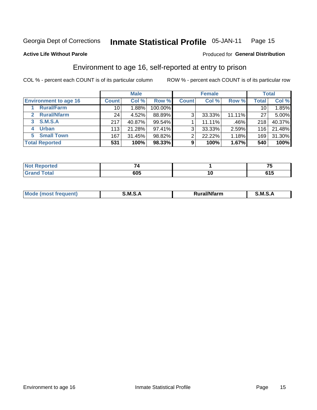#### **Inmate Statistical Profile 05-JAN-11** Page 15

### **Active Life Without Parole**

### **Produced for General Distribution**

### Environment to age 16, self-reported at entry to prison

COL % - percent each COUNT is of its particular column

|                                    |              | <b>Male</b> |           |              | <b>Female</b> |        |                 | <b>Total</b> |
|------------------------------------|--------------|-------------|-----------|--------------|---------------|--------|-----------------|--------------|
| <b>Environment to age 16</b>       | <b>Count</b> | Col %       | Row %     | <b>Count</b> | Col %         | Row %  | Total           | Col %        |
| <b>Rural/Farm</b>                  | 10           | $.88\%$     | 100.00%   |              |               |        | 10 <sub>1</sub> | 1.85%        |
| <b>Rural/Nfarm</b><br>$\mathbf{2}$ | 24           | 4.52%       | 88.89%    | 3            | 33.33%        | 11.11% | 27              | 5.00%        |
| 3 S.M.S.A                          | 217          | 40.87%      | 99.54%    |              | 11.11%        | .46%   | 218             | 40.37%       |
| <b>Urban</b><br>4                  | 113          | 21.28%      | $97.41\%$ | 3            | 33.33%        | 2.59%  | 116             | 21.48%       |
| 5 Small Town                       | 167          | 31.45%      | 98.82%    | ⌒            | 22.22%        | 1.18%  | 169             | 31.30%       |
| <b>Total Reported</b>              | 531          | 100%        | 98.33%    | 9            | 100%          | 1.67%  | 540             | 100%         |

| <b>Not Reported</b> |     |    | $-$        |
|---------------------|-----|----|------------|
| <b>Total</b>        | 605 | 14 | .<br>u i j |

| Mo | M | .<br><b>Ifarm</b> | M<br>- |
|----|---|-------------------|--------|
|    |   |                   |        |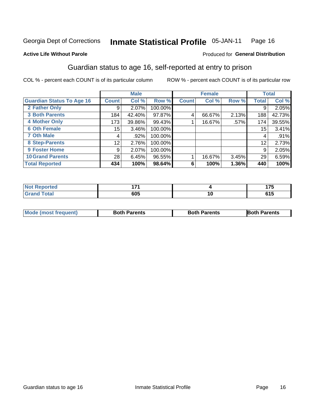#### **Inmate Statistical Profile 05-JAN-11** Page 16

### **Active Life Without Parole**

### Produced for General Distribution

### Guardian status to age 16, self-reported at entry to prison

COL % - percent each COUNT is of its particular column

|                                  |                 | <b>Male</b> |         |              | <b>Female</b> |       |                 | <b>Total</b> |
|----------------------------------|-----------------|-------------|---------|--------------|---------------|-------|-----------------|--------------|
| <b>Guardian Status To Age 16</b> | <b>Count</b>    | Col %       | Row %   | <b>Count</b> | Col %         | Row % | <b>Total</b>    | Col %        |
| 2 Father Only                    | 9               | 2.07%       | 100.00% |              |               |       | 9               | 2.05%        |
| <b>3 Both Parents</b>            | 184             | 42.40%      | 97.87%  | 4            | 66.67%        | 2.13% | 188             | 42.73%       |
| <b>4 Mother Only</b>             | 173             | 39.86%      | 99.43%  |              | 16.67%        | .57%  | 174             | 39.55%       |
| <b>6 Oth Female</b>              | 15 <sub>1</sub> | 3.46%       | 100.00% |              |               |       | 15 <sub>1</sub> | 3.41%        |
| <b>7 Oth Male</b>                | 4               | .92%        | 100.00% |              |               |       | 4               | .91%         |
| 8 Step-Parents                   | 12 <sub>2</sub> | 2.76%       | 100.00% |              |               |       | 12              | 2.73%        |
| 9 Foster Home                    | 9               | 2.07%       | 100.00% |              |               |       | 9               | 2.05%        |
| <b>10 Grand Parents</b>          | 28              | 6.45%       | 96.55%  |              | 16.67%        | 3.45% | 29              | 6.59%        |
| <b>Total Reported</b>            | 434             | 100%        | 98.64%  | 6            | 100%          | 1.36% | 440             | 100%         |

| ™еа | .          |    | $\rightarrow -$<br>- |
|-----|------------|----|----------------------|
|     | COF<br>໐ບະ | יי | .<br>. ש             |

| <b>Mode (most frequent)</b> | <b>Both Parents</b> | <b>Both Parents</b> | <b>Both Parents</b> |
|-----------------------------|---------------------|---------------------|---------------------|
|                             |                     |                     |                     |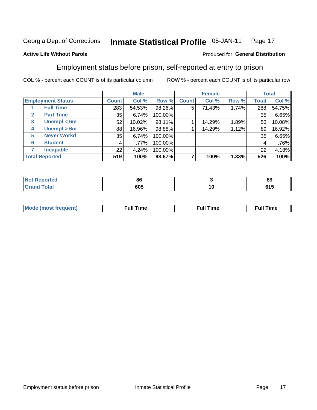#### Inmate Statistical Profile 05-JAN-11 Page 17

### **Active Life Without Parole**

### Produced for General Distribution

### Employment status before prison, self-reported at entry to prison

COL % - percent each COUNT is of its particular column

|                                  |              | <b>Male</b> |         |              | <b>Female</b> |       |       | <b>Total</b> |
|----------------------------------|--------------|-------------|---------|--------------|---------------|-------|-------|--------------|
| <b>Employment Status</b>         | <b>Count</b> | Col %       | Row %   | <b>Count</b> | Col %         | Row % | Total | Col %        |
| <b>Full Time</b>                 | 283          | 54.53%      | 98.26%  | 5            | 71.43%        | 1.74% | 288   | 54.75%       |
| <b>Part Time</b><br>$\mathbf{2}$ | 35           | 6.74%       | 100.00% |              |               |       | 35    | 6.65%        |
| Unempl $<$ 6m<br>3               | 52           | 10.02%      | 98.11%  |              | 14.29%        | 1.89% | 53    | 10.08%       |
| Unempl > 6m<br>4                 | 88           | 16.96%      | 98.88%  |              | 14.29%        | 1.12% | 89    | 16.92%       |
| <b>Never Workd</b><br>5          | 35           | 6.74%       | 100.00% |              |               |       | 35    | 6.65%        |
| <b>Student</b><br>6              | 4            | $.77\%$     | 100.00% |              |               |       | 4     | .76%         |
| <b>Incapable</b>                 | 22           | 4.24%       | 100.00% |              |               |       | 22    | 4.18%        |
| <b>Total Reported</b>            | 519          | 100%        | 98.67%  |              | 100%          | 1.33% | 526   | 100%         |

| m.<br>тео | 86  | - -<br>89   |
|-----------|-----|-------------|
|           | 605 | - - -<br>⊍י |

| Mc | ∙u∥<br>----<br>ıme | ίuΙ<br>Πmε |
|----|--------------------|------------|
|    |                    |            |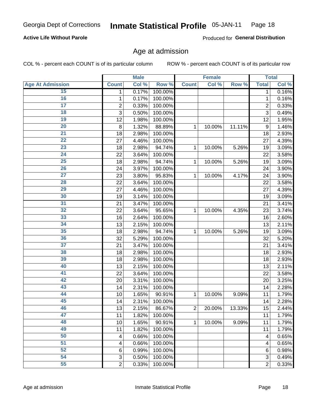#### **Inmate Statistical Profile 05-JAN-11** Page 18

### **Active Life Without Parole**

Produced for General Distribution

### Age at admission

COL % - percent each COUNT is of its particular column

|                         |                | <b>Male</b> |         |                         | <b>Female</b> |        |                  | <b>Total</b>        |
|-------------------------|----------------|-------------|---------|-------------------------|---------------|--------|------------------|---------------------|
| <b>Age At Admission</b> | <b>Count</b>   | Col %       | Row %   | <b>Count</b>            | Col %         | Row %  | <b>Total</b>     | Col %               |
| 15                      | 1              | 0.17%       | 100.00% |                         |               |        | 1                | 0.16%               |
| 16                      | 1              | 0.17%       | 100.00% |                         |               |        | $\mathbf{1}$     | 0.16%               |
| $\overline{17}$         | $\overline{c}$ | 0.33%       | 100.00% |                         |               |        | $\overline{2}$   | 0.33%               |
| 18                      | 3              | 0.50%       | 100.00% |                         |               |        | $\overline{3}$   | 0.49%               |
| $\overline{19}$         | 12             | 1.98%       | 100.00% |                         |               |        | 12               | 1.95%               |
| $\overline{20}$         | 8              | 1.32%       | 88.89%  | 1                       | 10.00%        | 11.11% | $\boldsymbol{9}$ | 1.46%               |
| $\overline{21}$         | 18             | 2.98%       | 100.00% |                         |               |        | 18               | 2.93%               |
| $\overline{22}$         | 27             | 4.46%       | 100.00% |                         |               |        | 27               | 4.39%               |
| $\overline{23}$         | 18             | 2.98%       | 94.74%  | 1                       | 10.00%        | 5.26%  | 19               | 3.09%               |
| $\overline{24}$         | 22             | 3.64%       | 100.00% |                         |               |        | 22               | 3.58%               |
| $\overline{25}$         | 18             | 2.98%       | 94.74%  | 1                       | 10.00%        | 5.26%  | 19               | 3.09%               |
| 26                      | 24             | 3.97%       | 100.00% |                         |               |        | 24               | 3.90%               |
| $\overline{27}$         | 23             | 3.80%       | 95.83%  | $\mathbf{1}$            | 10.00%        | 4.17%  | 24               | 3.90%               |
| 28                      | 22             | 3.64%       | 100.00% |                         |               |        | 22               | 3.58%               |
| 29                      | 27             | 4.46%       | 100.00% |                         |               |        | 27               | 4.39%               |
| 30                      | 19             | 3.14%       | 100.00% |                         |               |        | 19               | 3.09%               |
| $\overline{31}$         | 21             | 3.47%       | 100.00% |                         |               |        | 21               | 3.41%               |
| 32                      | 22             | 3.64%       | 95.65%  | 1                       | 10.00%        | 4.35%  | 23               | 3.74%               |
| 33                      | 16             | 2.64%       | 100.00% |                         |               |        | 16               | 2.60%               |
| 34                      | 13             | 2.15%       | 100.00% |                         |               |        | 13               | 2.11%               |
| 35                      | 18             | 2.98%       | 94.74%  | 1                       | 10.00%        | 5.26%  | 19               | 3.09%               |
| 36                      | 32             | 5.29%       | 100.00% |                         |               |        | 32               | 5.20%               |
| $\overline{37}$         | 21             | 3.47%       | 100.00% |                         |               |        | 21               | 3.41%               |
| 38                      | 18             | 2.98%       | 100.00% |                         |               |        | 18               | 2.93%               |
| 39                      | 18             | 2.98%       | 100.00% |                         |               |        | 18               | 2.93%               |
| 40                      | 13             | 2.15%       | 100.00% |                         |               |        | 13               | 2.11%               |
| 41                      | 22             | 3.64%       | 100.00% |                         |               |        | 22               | 3.58%               |
| 42                      | 20             | 3.31%       | 100.00% |                         |               |        | 20               | 3.25%               |
| 43                      | 14             | 2.31%       | 100.00% |                         |               |        | 14               | 2.28%               |
| 44                      | 10             | 1.65%       | 90.91%  | 1                       | 10.00%        | 9.09%  | 11               | 1.79%               |
| 45                      | 14             | 2.31%       | 100.00% |                         |               |        | 14               | 2.28%               |
| 46                      | 13             | 2.15%       | 86.67%  | $\overline{\mathbf{c}}$ | 20.00%        | 13.33% | 15               | 2.44%               |
| 47                      | 11             | 1.82%       | 100.00% |                         |               |        | 11               | 1.79%               |
| 48                      | 10             | 1.65%       | 90.91%  | 1                       | 10.00%        | 9.09%  | 11               | 1.79%               |
| 49                      | 11             | 1.82%       | 100.00% |                         |               |        | 11               | 1.79%               |
| 50                      | 4              | 0.66%       | 100.00% |                         |               |        | 4                | $\overline{0.65\%}$ |
| $\overline{51}$         | 4              | 0.66%       | 100.00% |                         |               |        | 4                | 0.65%               |
| 52                      | 6              | 0.99%       | 100.00% |                         |               |        | 6                | 0.98%               |
| 54                      | $\sqrt{3}$     | 0.50%       | 100.00% |                         |               |        | 3                | 0.49%               |
| 55                      | $\overline{2}$ | 0.33%       | 100.00% |                         |               |        | $\overline{2}$   | 0.33%               |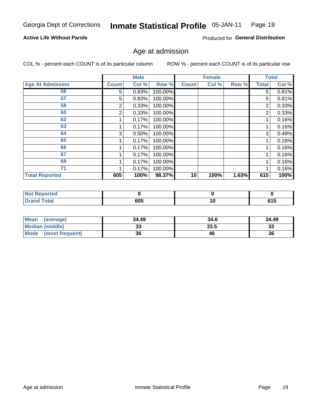#### **Inmate Statistical Profile 05-JAN-11** Page 19

### **Active Life Without Parole**

Produced for General Distribution

### Age at admission

COL % - percent each COUNT is of its particular column

|                         |              | <b>Male</b> |         |              | <b>Female</b> |       |       | <b>Total</b> |
|-------------------------|--------------|-------------|---------|--------------|---------------|-------|-------|--------------|
| <b>Age At Admission</b> | <b>Count</b> | Col %       | Row %   | <b>Count</b> | Col %         | Row % | Total | Col %        |
| 56                      | 5            | 0.83%       | 100.00% |              |               |       | 5     | 0.81%        |
| 57                      | 5            | 0.83%       | 100.00% |              |               |       | 5     | 0.81%        |
| 58                      | 2            | 0.33%       | 100.00% |              |               |       | 2     | 0.33%        |
| 60                      | 2            | 0.33%       | 100.00% |              |               |       | 2     | 0.33%        |
| 62                      |              | 0.17%       | 100.00% |              |               |       |       | 0.16%        |
| 63                      |              | 0.17%       | 100.00% |              |               |       |       | 0.16%        |
| 64                      | 3            | 0.50%       | 100.00% |              |               |       | 3     | 0.49%        |
| 65                      |              | 0.17%       | 100.00% |              |               |       |       | 0.16%        |
| 66                      |              | 0.17%       | 100.00% |              |               |       |       | 0.16%        |
| 67                      |              | 0.17%       | 100.00% |              |               |       |       | 0.16%        |
| 69                      |              | 0.17%       | 100.00% |              |               |       |       | 0.16%        |
| 71                      |              | 0.17%       | 100.00% |              |               |       |       | 0.16%        |
| <b>Total Reported</b>   | 605          | 100%        | 98.37%  | 10           | 100%          | 1.63% | 615   | 100%         |

| orted<br><b>Not</b> |     |    |              |
|---------------------|-----|----|--------------|
| int<br>______       | 605 | טו | - - -<br>JIJ |

| <b>Mean</b><br>(average)       | 34.49     | 34.6 | 34.49    |
|--------------------------------|-----------|------|----------|
| <b>Median (middle)</b>         | n n<br>აა | 33.5 | າາ<br>ುಎ |
| <b>Mode</b><br>(most frequent) | 36        | 46   | 36       |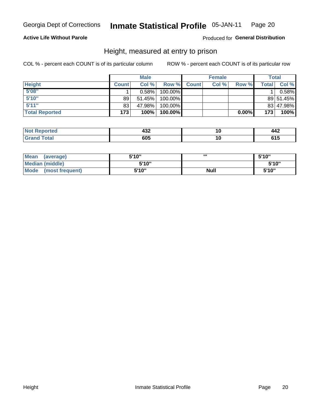#### **Inmate Statistical Profile 05-JAN-11** Page 20

### **Active Life Without Parole**

Produced for General Distribution

### Height, measured at entry to prison

COL % - percent each COUNT is of its particular column

|                       |              | <b>Male</b> |         |              | <b>Female</b> |          |              | Total     |
|-----------------------|--------------|-------------|---------|--------------|---------------|----------|--------------|-----------|
| <b>Height</b>         | <b>Count</b> | Col %       | Row %   | <b>Count</b> | Col %         | Row %    | <b>Total</b> | Col %     |
| 5'08''                |              | $0.58\%$    | 100.00% |              |               |          |              | 0.58%     |
| 5'10''                | 89           | 51.45%      | 100.00% |              |               |          |              | 89 51.45% |
| 5'11''                | 83           | 47.98%      | 100.00% |              |               |          |              | 83 47.98% |
| <b>Total Reported</b> | 173          | 100%        | 100.00% |              |               | $0.00\%$ | 173          | 100%      |

| <b>Not</b><br>ported:<br>--- | ៱៱៱<br>4JZ | ιu | 14Z |
|------------------------------|------------|----|-----|
| <b>otal</b><br>'Grand        | 605        | ιu | .   |

| Mean<br>(average)              | 5'10" | ш           | 5'10" |
|--------------------------------|-------|-------------|-------|
| Median (middle)                | 5'10" |             | 5'10" |
| <b>Mode</b><br>(most frequent) | 5'10" | <b>Null</b> | 5'10" |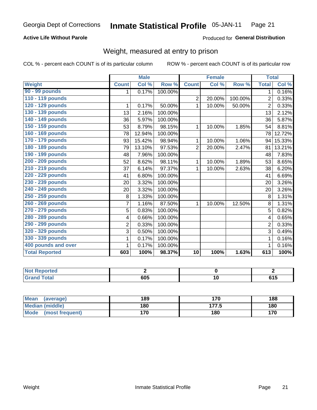#### **Inmate Statistical Profile 05-JAN-11** Page 21

### **Active Life Without Parole**

### Produced for General Distribution

### Weight, measured at entry to prison

COL % - percent each COUNT is of its particular column

|                       |                | <b>Male</b> |         |                 | <b>Female</b> |         | <b>Total</b>   |        |
|-----------------------|----------------|-------------|---------|-----------------|---------------|---------|----------------|--------|
| Weight                | <b>Count</b>   | Col %       | Row %   | <b>Count</b>    | Col %         | Row %   | <b>Total</b>   | Col %  |
| 90 - 99 pounds        | 1              | 0.17%       | 100.00% |                 |               |         | 1              | 0.16%  |
| 110 - 119 pounds      |                |             |         | $\overline{2}$  | 20.00%        | 100.00% | $\overline{2}$ | 0.33%  |
| 120 - 129 pounds      | 1              | 0.17%       | 50.00%  | 1               | 10.00%        | 50.00%  | $\overline{2}$ | 0.33%  |
| 130 - 139 pounds      | 13             | 2.16%       | 100.00% |                 |               |         | 13             | 2.12%  |
| 140 - 149 pounds      | 36             | 5.97%       | 100.00% |                 |               |         | 36             | 5.87%  |
| 150 - 159 pounds      | 53             | 8.79%       | 98.15%  | 1               | 10.00%        | 1.85%   | 54             | 8.81%  |
| 160 - 169 pounds      | 78             | 12.94%      | 100.00% |                 |               |         | 78             | 12.72% |
| 170 - 179 pounds      | 93             | 15.42%      | 98.94%  | 1               | 10.00%        | 1.06%   | 94             | 15.33% |
| 180 - 189 pounds      | 79             | 13.10%      | 97.53%  | $\overline{2}$  | 20.00%        | 2.47%   | 81             | 13.21% |
| 190 - 199 pounds      | 48             | 7.96%       | 100.00% |                 |               |         | 48             | 7.83%  |
| 200 - 209 pounds      | 52             | 8.62%       | 98.11%  | 1               | 10.00%        | 1.89%   | 53             | 8.65%  |
| 210 - 219 pounds      | 37             | 6.14%       | 97.37%  | 1               | 10.00%        | 2.63%   | 38             | 6.20%  |
| 220 - 229 pounds      | 41             | 6.80%       | 100.00% |                 |               |         | 41             | 6.69%  |
| 230 - 239 pounds      | 20             | 3.32%       | 100.00% |                 |               |         | 20             | 3.26%  |
| 240 - 249 pounds      | 20             | 3.32%       | 100.00% |                 |               |         | 20             | 3.26%  |
| 250 - 259 pounds      | 8              | 1.33%       | 100.00% |                 |               |         | 8              | 1.31%  |
| 260 - 269 pounds      | $\overline{7}$ | 1.16%       | 87.50%  | 1               | 10.00%        | 12.50%  | 8              | 1.31%  |
| 270 - 279 pounds      | 5              | 0.83%       | 100.00% |                 |               |         | 5              | 0.82%  |
| 280 - 289 pounds      | 4              | 0.66%       | 100.00% |                 |               |         | 4              | 0.65%  |
| 290 - 299 pounds      | $\overline{2}$ | 0.33%       | 100.00% |                 |               |         | $\overline{2}$ | 0.33%  |
| 320 - 329 pounds      | 3              | 0.50%       | 100.00% |                 |               |         | 3              | 0.49%  |
| 330 - 339 pounds      | 1              | 0.17%       | 100.00% |                 |               |         |                | 0.16%  |
| 400 pounds and over   | 1              | 0.17%       | 100.00% |                 |               |         |                | 0.16%  |
| <b>Total Reported</b> | 603            | 100%        | 98.37%  | $\overline{10}$ | 100%          | 1.63%   | 613            | 100%   |

| <b>Not Reported</b>  |     |       |
|----------------------|-----|-------|
| <b>Total</b><br>Gran | 605 | u I J |

| <b>Mean</b><br>(average)       | 189 | 170   | 188 |
|--------------------------------|-----|-------|-----|
| <b>Median (middle)</b>         | 180 | 177.5 | 180 |
| <b>Mode</b><br>(most frequent) | 170 | 180   | 170 |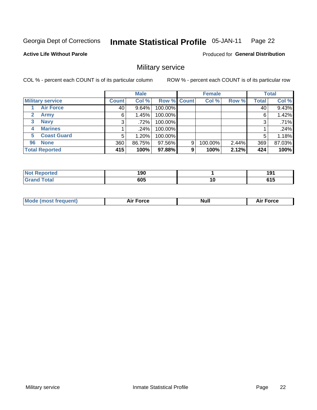#### Inmate Statistical Profile 05-JAN-11 Page 22

### **Active Life Without Parole**

**Produced for General Distribution** 

### Military service

COL % - percent each COUNT is of its particular column

|                             |              | <b>Male</b> |             |   | <b>Female</b> |       |              | <b>Total</b> |
|-----------------------------|--------------|-------------|-------------|---|---------------|-------|--------------|--------------|
| <b>Military service</b>     | <b>Count</b> | Col %       | Row % Count |   | Col %         | Row % | <b>Total</b> | Col %        |
| <b>Air Force</b>            | 40           | $9.64\%$    | 100.00%     |   |               |       | 40           | 9.43%        |
| $\mathbf{2}$<br><b>Army</b> | 6            | 1.45%       | 100.00%     |   |               |       | 6            | 1.42%        |
| <b>Navy</b><br>3            | 3            | .72%        | 100.00%     |   |               |       | 3            | .71%         |
| <b>Marines</b><br>4         |              | $.24\%$     | 100.00%     |   |               |       |              | .24%         |
| <b>Coast Guard</b><br>5     | 5            | $1.20\%$    | 100.00%     |   |               |       | 5            | 1.18%        |
| <b>None</b><br>96           | 360          | 86.75%      | 97.56%      | 9 | 100.00%       | 2.44% | 369          | 87.03%       |
| <b>Total Reported</b>       | 415          | 100%        | 97.88%      | 9 | 100%          | 2.12% | 424          | 100%         |

| orted                      | 190 |    | .<br>IJ       |
|----------------------------|-----|----|---------------|
| <b>Total</b><br><b>. .</b> | 605 | 10 | 64 F<br>v 1 J |

|  |  | <b>Mode</b><br>uent)<br>most tren | Force<br>Aır | <b>Null</b> | orce |
|--|--|-----------------------------------|--------------|-------------|------|
|--|--|-----------------------------------|--------------|-------------|------|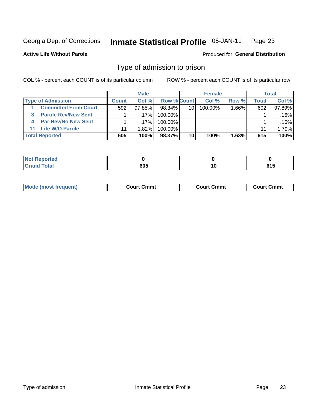#### Inmate Statistical Profile 05-JAN-11 Page 23

**Active Life Without Parole** 

Produced for General Distribution

### Type of admission to prison

COL % - percent each COUNT is of its particular column

|                             |              | <b>Male</b> |                    |                 | <b>Female</b> |          |       | Total  |
|-----------------------------|--------------|-------------|--------------------|-----------------|---------------|----------|-------|--------|
| <b>Type of Admission</b>    | <b>Count</b> | Col%        | <b>Row % Count</b> |                 | Col %         | Row %    | Total | Col %  |
| <b>Committed From Court</b> | 592          | $97.85\%$   | 98.34%             | 10 <sup>1</sup> | 100.00%       | $1.66\%$ | 602   | 97.89% |
| <b>Parole Rev/New Sent</b>  |              | $.17\%$     | 100.00%            |                 |               |          |       | .16%   |
| <b>Par Rev/No New Sent</b>  |              | .17%        | 100.00%            |                 |               |          |       | .16%   |
| 11 Life W/O Parole          |              | 1.82%       | 100.00%            |                 |               |          | 11    | 1.79%  |
| <b>Total Reported</b>       | 605          | 100%        | 98.37%             | 10              | 100%          | 1.63%    | 615   | 100%   |

| тео                             |        |        |                     |
|---------------------------------|--------|--------|---------------------|
| $C = 4 - 7$<br><b></b><br>_____ | $\sim$ | $\sim$ | ---<br>U I J<br>- - |

| <b>Mode (most frequent)</b><br>Court Cmmt<br>Court Cmmt<br>Court Cmmt |
|-----------------------------------------------------------------------|
|-----------------------------------------------------------------------|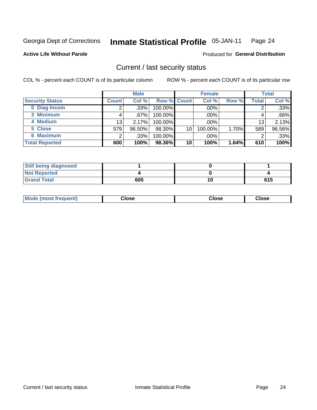#### **Inmate Statistical Profile 05-JAN-11** Page 24

**Active Life Without Parole** 

Produced for General Distribution

### Current / last security status

COL % - percent each COUNT is of its particular column

|                        |                 | <b>Male</b> |                    |    | <b>Female</b> |       |       | <b>Total</b> |
|------------------------|-----------------|-------------|--------------------|----|---------------|-------|-------|--------------|
| <b>Security Status</b> | <b>Count</b>    | Col %       | <b>Row % Count</b> |    | Col %         | Row % | Total | Col %        |
| 0 Diag Incom           |                 | .33%        | 100.00%            |    | $.00\%$       |       |       | $.33\%$      |
| 3 Minimum              |                 | $.67\%$     | 100.00%            |    | .00%          |       | 4     | $.66\%$      |
| 4 Medium               | 13 <sub>1</sub> | 2.17%       | 100.00%            |    | $.00\%$       |       | 13    | 2.13%        |
| 5 Close                | 579             | 96.50%      | 98.30%             | 10 | 100.00%       | 1.70% | 589   | 96.56%       |
| 6 Maximum              | ◠               | .33%        | 100.00%            |    | $.00\%$       |       | 2     | .33%         |
| <b>Total Reported</b>  | 600             | 100%        | 98.36%             | 10 | 100%          | 1.64% | 610   | 100%         |

| <b>Still being diagnosed</b> |     |     |
|------------------------------|-----|-----|
| <b>Not Reported</b>          |     |     |
| <b>Grand Total</b>           | 605 | 615 |

| Mode (most<br><b>Close</b><br>Close<br>Close<br>frequent) |
|-----------------------------------------------------------|
|-----------------------------------------------------------|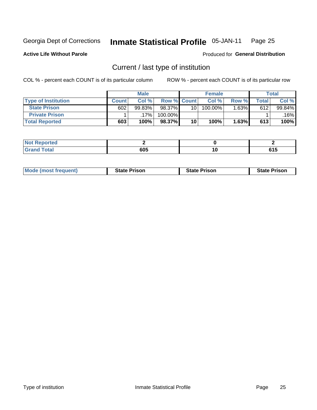#### Inmate Statistical Profile 05-JAN-11 Page 25

**Active Life Without Parole** 

Produced for General Distribution

### Current / last type of institution

COL % - percent each COUNT is of its particular column

|                            |              | <b>Male</b> |                    |                 | <b>Female</b> |        |                    | <b>Total</b> |
|----------------------------|--------------|-------------|--------------------|-----------------|---------------|--------|--------------------|--------------|
| <b>Type of Institution</b> | <b>Count</b> | Col %       | <b>Row % Count</b> |                 | Col %         | Row %  | $\mathsf{Total}$ i | Col %        |
| <b>State Prison</b>        | 602          | 99.83%      | 98.37%             | 10 <sub>1</sub> | 100.00%       | 1.63%∎ | 612                | 99.84%       |
| <b>Private Prison</b>      |              | 17%         | 100.00%            |                 |               |        |                    | $.16\%$      |
| <b>Total Reported</b>      | 603          | 100%        | 98.37%             | 10              | 100%          | 1.63%  | 613                | 100%         |

| τeα                         |     |    |  |
|-----------------------------|-----|----|--|
| $\sim$ $\sim$ $\sim$ $\sim$ | 605 | 10 |  |

| <b>Mode (most frequent)</b> | <b>State Prison</b> | <b>State Prison</b> | <b>State Prison</b> |
|-----------------------------|---------------------|---------------------|---------------------|
|                             |                     |                     |                     |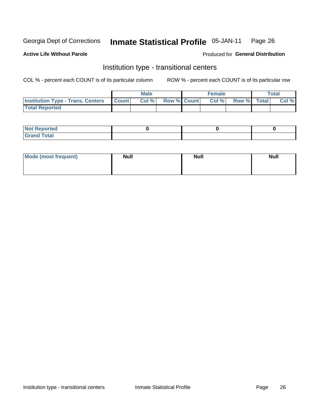#### **Inmate Statistical Profile 05-JAN-11** Page 26

**Active Life Without Parole** 

Produced for General Distribution

### Institution type - transitional centers

COL % - percent each COUNT is of its particular column

|                                                | <b>Male</b> |                    | <b>Female</b> |             | <b>Total</b> |
|------------------------------------------------|-------------|--------------------|---------------|-------------|--------------|
| <b>Institution Type - Trans. Centers Count</b> | Col %       | <b>Row % Count</b> | Col %         | Row % Total | Col %        |
| <b>Total Reported</b>                          |             |                    |               |             |              |

| <b>Reported</b><br><b>NOT</b>   |  |  |
|---------------------------------|--|--|
| $\sim$<br>C <sub>r</sub><br>--- |  |  |

| Mode (most frequent) | <b>Null</b> | <b>Null</b> | <b>Null</b> |
|----------------------|-------------|-------------|-------------|
|                      |             |             |             |
|                      |             |             |             |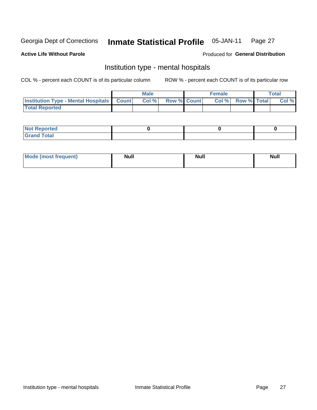#### **Inmate Statistical Profile** 05-JAN-11 Page 27

### **Active Life Without Parole**

### Produced for General Distribution

### Institution type - mental hospitals

COL % - percent each COUNT is of its particular column

|                                                  | Male  |                    | <b>Female</b> |                   | <b>Total</b> |
|--------------------------------------------------|-------|--------------------|---------------|-------------------|--------------|
| <b>Institution Type - Mental Hospitals Count</b> | Col % | <b>Row % Count</b> |               | Col % Row % Total | Col %        |
| <b>Total Reported</b>                            |       |                    |               |                   |              |

| <b>Not Reported</b>                     |  |  |
|-----------------------------------------|--|--|
| <b>otal</b><br>C <sub>r</sub><br>______ |  |  |

| Mode.<br>frequent) | <b>Nul</b><br>_____ | <b>Null</b> | <b>Null</b> |
|--------------------|---------------------|-------------|-------------|
|                    |                     |             |             |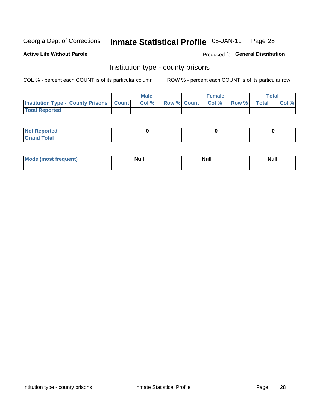#### **Inmate Statistical Profile 05-JAN-11** Page 28

**Active Life Without Parole** 

Produced for General Distribution

### Institution type - county prisons

COL % - percent each COUNT is of its particular column

|                                                    | <b>Male</b> |  | <b>Female</b>     |             | Total |
|----------------------------------------------------|-------------|--|-------------------|-------------|-------|
| <b>Institution Type - County Prisons   Count  </b> | Col %       |  | Row % Count Col % | Row % Total | Col % |
| <b>Total Reported</b>                              |             |  |                   |             |       |

| <b>Not Reported</b>   |  |  |
|-----------------------|--|--|
| <b>Total</b><br>Granc |  |  |

| <b>Mode</b>      | <b>Null</b> | <b>Null</b> | <b>Null</b> |  |
|------------------|-------------|-------------|-------------|--|
| (most freauent). |             |             |             |  |
|                  |             |             |             |  |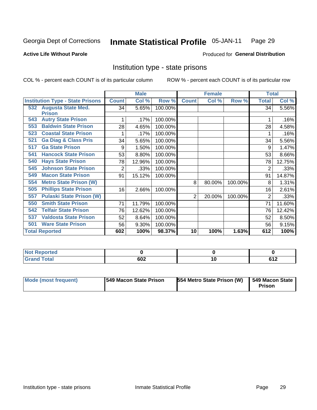#### Inmate Statistical Profile 05-JAN-11 Page 29

**Active Life Without Parole** 

Produced for General Distribution

### Institution type - state prisons

COL % - percent each COUNT is of its particular column

|                                         |              | <b>Male</b> |         |              | <b>Female</b> |         | <b>Total</b> |        |
|-----------------------------------------|--------------|-------------|---------|--------------|---------------|---------|--------------|--------|
| <b>Institution Type - State Prisons</b> | <b>Count</b> | Col %       | Row %   | <b>Count</b> | Col %         | Row %   | <b>Total</b> | Col %  |
| <b>Augusta State Med.</b><br>532        | 34           | 5.65%       | 100.00% |              |               |         | 34           | 5.56%  |
| <b>Prison</b>                           |              |             |         |              |               |         |              |        |
| <b>Autry State Prison</b><br>543        |              | .17%        | 100.00% |              |               |         |              | .16%   |
| <b>Baldwin State Prison</b><br>553      | 28           | 4.65%       | 100.00% |              |               |         | 28           | 4.58%  |
| <b>Coastal State Prison</b><br>523      |              | .17%        | 100.00% |              |               |         |              | .16%   |
| <b>Ga Diag &amp; Class Pris</b><br>521  | 34           | 5.65%       | 100.00% |              |               |         | 34           | 5.56%  |
| <b>Ga State Prison</b><br>517           | 9            | 1.50%       | 100.00% |              |               |         | 9            | 1.47%  |
| <b>Hancock State Prison</b><br>541      | 53           | 8.80%       | 100.00% |              |               |         | 53           | 8.66%  |
| <b>Hays State Prison</b><br>540         | 78           | 12.96%      | 100.00% |              |               |         | 78           | 12.75% |
| <b>Johnson State Prison</b><br>545      | 2            | .33%        | 100.00% |              |               |         | 2            | .33%   |
| <b>Macon State Prison</b><br>549        | 91           | 15.12%      | 100.00% |              |               |         | 91           | 14.87% |
| <b>Metro State Prison (W)</b><br>554    |              |             |         | 8            | 80.00%        | 100.00% | 8            | 1.31%  |
| <b>Phillips State Prison</b><br>505     | 16           | 2.66%       | 100.00% |              |               |         | 16           | 2.61%  |
| <b>Pulaski State Prison (W)</b><br>557  |              |             |         | 2            | 20.00%        | 100.00% | 2            | .33%   |
| <b>Smith State Prison</b><br>550        | 71           | 11.79%      | 100.00% |              |               |         | 71           | 11.60% |
| <b>Telfair State Prison</b><br>542      | 76           | 12.62%      | 100.00% |              |               |         | 76           | 12.42% |
| <b>Valdosta State Prison</b><br>537     | 52           | 8.64%       | 100.00% |              |               |         | 52           | 8.50%  |
| <b>Ware State Prison</b><br>501         | 56           | 9.30%       | 100.00% |              |               |         | 56           | 9.15%  |
| <b>Total Reported</b>                   | 602          | 100%        | 98.37%  | 10           | 100%          | 1.63%   | 612          | 100%   |

| <b>Reported</b><br><b>NOT</b><br>$\sim$ |     |                          |
|-----------------------------------------|-----|--------------------------|
| <b>Total</b>                            | 602 | .est-<br><b></b><br>$ -$ |

| Mode (most frequent) | <b>1549 Macon State Prison</b> | <b>554 Metro State Prison (W)   549 Macon State</b> | Prison |
|----------------------|--------------------------------|-----------------------------------------------------|--------|
|----------------------|--------------------------------|-----------------------------------------------------|--------|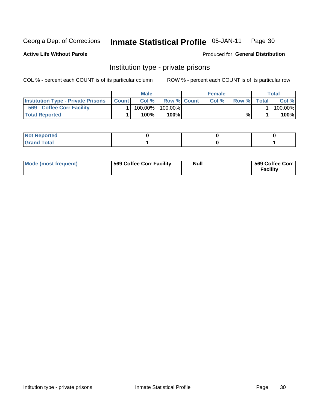#### Inmate Statistical Profile 05-JAN-11 Page 30

**Active Life Without Parole** 

Produced for General Distribution

### Institution type - private prisons

COL % - percent each COUNT is of its particular column

|                                            | <b>Male</b> |                    | <b>Female</b> |       |              | Total   |
|--------------------------------------------|-------------|--------------------|---------------|-------|--------------|---------|
| Institution Type - Private Prisons   Count | Col%        | <b>Row % Count</b> | Col %         | Row % | <b>Total</b> | Col %   |
| 569<br><b>Coffee Corr Facility</b>         | 100.00%     | 100.00%            |               |       |              | 100.00% |
| <b>Total Reported</b>                      | $100\%$     | $100\%$            |               | %\    |              | 100%    |

| Not Reported |  |  |
|--------------|--|--|
|              |  |  |

| Mode (most frequent) | 569 Coffee Corr Facility | <b>Null</b> | 569 Coffee Corr<br><b>Facility</b> |
|----------------------|--------------------------|-------------|------------------------------------|
|----------------------|--------------------------|-------------|------------------------------------|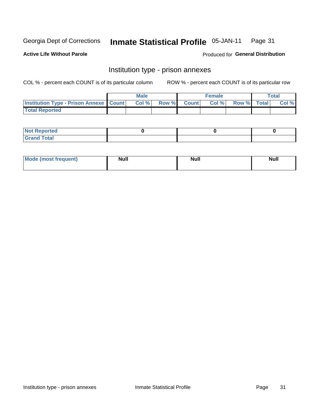#### Inmate Statistical Profile 05-JAN-11 Page 31

**Active Life Without Parole** 

Produced for General Distribution

### Institution type - prison annexes

COL % - percent each COUNT is of its particular column

|                                                   | <b>Male</b> |              |       | <b>Female</b> |                    | <b>Total</b> |
|---------------------------------------------------|-------------|--------------|-------|---------------|--------------------|--------------|
| <b>Institution Type - Prison Annexe   Count  </b> | Col %       | <b>Row %</b> | Count | Col %         | <b>Row %</b> Total | Col %        |
| <b>Total Reported</b>                             |             |              |       |               |                    |              |

| <b>Reported</b><br>I NOT                      |  |  |
|-----------------------------------------------|--|--|
| <b>Total</b><br>Carar<br>$\sim$ . When $\sim$ |  |  |

| <b>Mode</b>     | <b>Null</b> | <b>Null</b> | <b>Null</b> |
|-----------------|-------------|-------------|-------------|
| most frequent). |             |             |             |
|                 |             |             |             |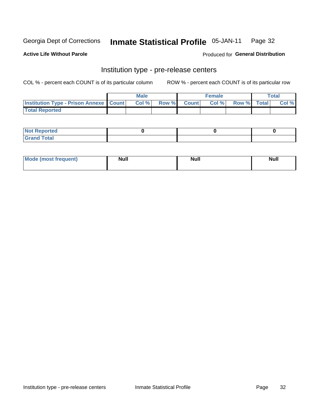#### **Inmate Statistical Profile 05-JAN-11** Page 32

**Active Life Without Parole** 

Produced for General Distribution

### Institution type - pre-release centers

COL % - percent each COUNT is of its particular column

|                                                   | <b>Male</b> |              |       | <b>Female</b> |             | <b>Total</b> |
|---------------------------------------------------|-------------|--------------|-------|---------------|-------------|--------------|
| <b>Institution Type - Prison Annexe   Count  </b> | Col%        | <b>Row %</b> | Count | Col %         | Row % Total | Col %        |
| <b>Total Reported</b>                             |             |              |       |               |             |              |

| <b>Reported</b><br>I NOT |  |  |
|--------------------------|--|--|
| <b>Total</b><br>$C$ ren  |  |  |

| $^{\prime}$ Mo <sub>t</sub><br>frequent)<br>⊥(mos* | <b>Null</b> | Noll<br><b>vull</b> | <b>Null</b> |
|----------------------------------------------------|-------------|---------------------|-------------|
|                                                    |             |                     |             |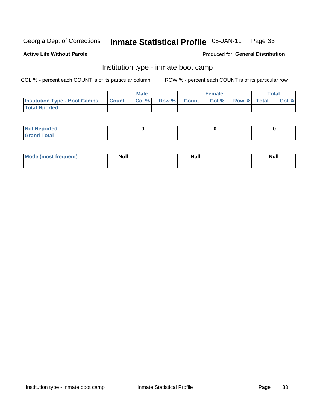#### **Inmate Statistical Profile 05-JAN-11** Page 33

### **Active Life Without Parole**

### Produced for General Distribution

### Institution type - inmate boot camp

COL % - percent each COUNT is of its particular column

|                                      |                  | <b>Male</b> |              |              | <b>Female</b> |             | <b>Total</b> |
|--------------------------------------|------------------|-------------|--------------|--------------|---------------|-------------|--------------|
| <b>Institution Type - Boot Camps</b> | <b>I</b> Count I | Col %       | <b>Row %</b> | <b>Count</b> | Col %         | Row % Total | Col %        |
| <b>Total Rported</b>                 |                  |             |              |              |               |             |              |

| <b>Not Reported</b> |  |  |
|---------------------|--|--|
| <b>Total</b><br>Cro |  |  |

| <b>I Mode (most frequent)</b> | <b>Null</b> | <b>Null</b> | <b>Null</b> |
|-------------------------------|-------------|-------------|-------------|
|                               |             |             |             |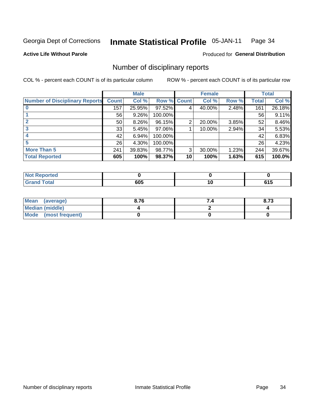#### Inmate Statistical Profile 05-JAN-11 Page 34

**Active Life Without Parole** 

Produced for General Distribution

### Number of disciplinary reports

COL % - percent each COUNT is of its particular column

|                                       |                 | <b>Male</b> |                    |    | <b>Female</b> |       |       | <b>Total</b> |
|---------------------------------------|-----------------|-------------|--------------------|----|---------------|-------|-------|--------------|
| <b>Number of Disciplinary Reports</b> | <b>Count</b>    | Col %       | <b>Row % Count</b> |    | Col %         | Row % | Total | Col %        |
|                                       | 157             | 25.95%      | $97.52\%$          | 4  | 40.00%        | 2.48% | 161   | 26.18%       |
|                                       | 56              | 9.26%       | 100.00%            |    |               |       | 56    | 9.11%        |
| 2                                     | 50 <sub>1</sub> | $8.26\%$    | 96.15%             | 2  | 20.00%        | 3.85% | 52    | 8.46%        |
| 3                                     | 33              | 5.45%       | 97.06%             |    | 10.00%        | 2.94% | 34    | 5.53%        |
|                                       | 42              | 6.94%       | 100.00%            |    |               |       | 42    | 6.83%        |
|                                       | 26              | 4.30%       | 100.00%            |    |               |       | 26    | 4.23%        |
| <b>More Than 5</b>                    | 241             | 39.83%      | 98.77%             | 3  | 30.00%        | 1.23% | 244   | 39.67%       |
| <b>Total Reported</b>                 | 605             | 100%        | 98.37%             | 10 | 100%          | 1.63% | 615   | 100.0%       |

| 'ted<br>NO |     |           |       |
|------------|-----|-----------|-------|
| intal      | 605 | l v<br>__ | . . J |

| Mean (average)       | 8.76 | 8.73 |
|----------------------|------|------|
| Median (middle)      |      |      |
| Mode (most frequent) |      |      |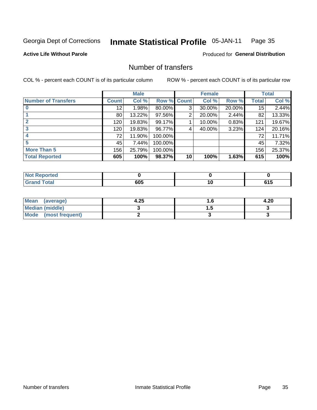#### **Inmate Statistical Profile 05-JAN-11** Page 35

**Active Life Without Parole** 

**Produced for General Distribution** 

### Number of transfers

COL % - percent each COUNT is of its particular column

|                            |              | <b>Male</b> |                    |    | <b>Female</b> |        |              | <b>Total</b> |
|----------------------------|--------------|-------------|--------------------|----|---------------|--------|--------------|--------------|
| <b>Number of Transfers</b> | <b>Count</b> | Col %       | <b>Row % Count</b> |    | Col %         | Row %  | <b>Total</b> | Col %        |
|                            | 12           | 1.98%       | 80.00%             | 3  | 30.00%        | 20.00% | 15           | 2.44%        |
|                            | 80           | 13.22%      | 97.56%             | 2  | 20.00%        | 2.44%  | 82           | 13.33%       |
| $\mathbf{2}$               | 120          | 19.83%      | 99.17%             |    | 10.00%        | 0.83%  | 121          | 19.67%       |
| 3                          | 120          | 19.83%      | 96.77%             | 4  | 40.00%        | 3.23%  | 124          | 20.16%       |
|                            | 72           | 11.90%      | 100.00%            |    |               |        | 72           | 11.71%       |
| 5                          | 45           | 7.44%       | 100.00%            |    |               |        | 45           | 7.32%        |
| <b>More Than 5</b>         | 156          | 25.79%      | 100.00%            |    |               |        | 156          | 25.37%       |
| <b>Total Reported</b>      | 605          | 100%        | 98.37%             | 10 | 100%          | 1.63%  | 615          | 100%         |

| prted<br>NOT |     |   |
|--------------|-----|---|
| 「otal        | 605 | . |

| Mean (average)       | 4.25 | . . | 4.20 |
|----------------------|------|-----|------|
| Median (middle)      |      |     |      |
| Mode (most frequent) |      |     |      |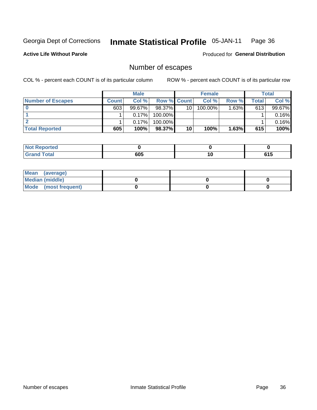#### **Inmate Statistical Profile 05-JAN-11** Page 36

**Active Life Without Parole** 

Produced for General Distribution

### Number of escapes

COL % - percent each COUNT is of its particular column

|                          |              | <b>Male</b> |                    |    | <b>Female</b> |       |       | <b>Total</b> |
|--------------------------|--------------|-------------|--------------------|----|---------------|-------|-------|--------------|
| <b>Number of Escapes</b> | <b>Count</b> | Col%        | <b>Row % Count</b> |    | Col %         | Row % | Total | Col %        |
|                          | 603          | $99.67\%$   | 98.37% L           | 10 | $100.00\%$    | 1.63% | 613   | 99.67%       |
|                          |              | 0.17%       | $100.00\%$         |    |               |       |       | 0.16%        |
|                          |              | 0.17%       | 100.00%            |    |               |       |       | 0.16%        |
| <b>Total Reported</b>    | 605          | 100%        | 98.37%             | 10 | 100%          | 1.63% | 615   | 100%         |

| <b>Not Reported</b> |     |             |
|---------------------|-----|-------------|
| <b>Grand Total</b>  | 605 | C4 E<br>UIJ |

| Mean (average)       |  |  |
|----------------------|--|--|
| Median (middle)      |  |  |
| Mode (most frequent) |  |  |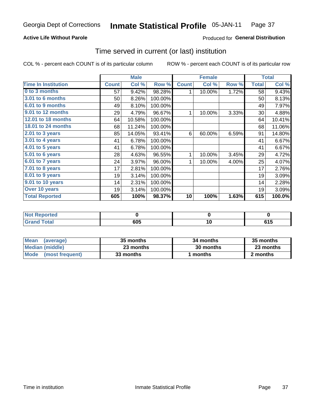## **Active Life Without Parole**

## **Produced for General Distribution**

## Time served in current (or last) institution

COL % - percent each COUNT is of its particular column

|                            |              | <b>Male</b> |         |              | <b>Female</b> |       |              | <b>Total</b> |
|----------------------------|--------------|-------------|---------|--------------|---------------|-------|--------------|--------------|
| <b>Time In Institution</b> | <b>Count</b> | Col %       | Row %   | <b>Count</b> | Col %         | Row % | <b>Total</b> | Col %        |
| 0 to 3 months              | 57           | 9.42%       | 98.28%  | 1            | 10.00%        | 1.72% | 58           | 9.43%        |
| <b>3.01 to 6 months</b>    | 50           | 8.26%       | 100.00% |              |               |       | 50           | 8.13%        |
| 6.01 to 9 months           | 49           | 8.10%       | 100.00% |              |               |       | 49           | 7.97%        |
| 9.01 to 12 months          | 29           | 4.79%       | 96.67%  | 1            | 10.00%        | 3.33% | 30           | 4.88%        |
| 12.01 to 18 months         | 64           | 10.58%      | 100.00% |              |               |       | 64           | 10.41%       |
| 18.01 to 24 months         | 68           | 11.24%      | 100.00% |              |               |       | 68           | 11.06%       |
| 2.01 to 3 years            | 85           | 14.05%      | 93.41%  | 6            | 60.00%        | 6.59% | 91           | 14.80%       |
| 3.01 to 4 years            | 41           | 6.78%       | 100.00% |              |               |       | 41           | 6.67%        |
| 4.01 to 5 years            | 41           | 6.78%       | 100.00% |              |               |       | 41           | 6.67%        |
| 5.01 to 6 years            | 28           | 4.63%       | 96.55%  | 1            | 10.00%        | 3.45% | 29           | 4.72%        |
| 6.01 to 7 years            | 24           | 3.97%       | 96.00%  | 1            | 10.00%        | 4.00% | 25           | 4.07%        |
| $7.01$ to 8 years          | 17           | 2.81%       | 100.00% |              |               |       | 17           | 2.76%        |
| 8.01 to 9 years            | 19           | 3.14%       | 100.00% |              |               |       | 19           | 3.09%        |
| 9.01 to 10 years           | 14           | 2.31%       | 100.00% |              |               |       | 14           | 2.28%        |
| Over 10 years              | 19           | 3.14%       | 100.00% |              |               |       | 19           | 3.09%        |
| <b>Total Reported</b>      | 605          | 100%        | 98.37%  | 10           | 100%          | 1.63% | 615          | 100.0%       |

| <b>ported</b><br><b>NOT</b> |            |       |
|-----------------------------|------------|-------|
| $F0$ tal                    | בחב<br>טע. | U I J |

| <b>Mean</b><br>(average) | 35 months | 34 months | 35 months |
|--------------------------|-----------|-----------|-----------|
| Median (middle)          | 23 months | 30 months | 23 months |
| Mode (most frequent)     | 33 months | 1 months  | 2 months  |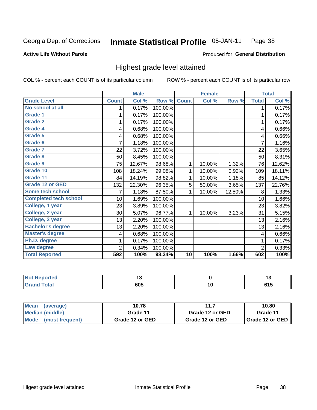#### Inmate Statistical Profile 05-JAN-11 Page 38

## **Active Life Without Parole**

### Produced for General Distribution

## Highest grade level attained

COL % - percent each COUNT is of its particular column

|                              |              | <b>Male</b> |         |              | <b>Female</b> |        |                | <b>Total</b> |
|------------------------------|--------------|-------------|---------|--------------|---------------|--------|----------------|--------------|
| <b>Grade Level</b>           | <b>Count</b> | Col %       | Row %   | <b>Count</b> | Col %         | Row %  | <b>Total</b>   | Col %        |
| No school at all             | 1.           | 0.17%       | 100.00% |              |               |        | 1              | 0.17%        |
| <b>Grade 1</b>               | 1            | 0.17%       | 100.00% |              |               |        | 1              | 0.17%        |
| <b>Grade 2</b>               |              | 0.17%       | 100.00% |              |               |        | 1              | 0.17%        |
| <b>Grade 4</b>               | 4            | 0.68%       | 100.00% |              |               |        | 4              | 0.66%        |
| Grade 5                      | 4            | 0.68%       | 100.00% |              |               |        | 4              | 0.66%        |
| Grade 6                      | 7            | 1.18%       | 100.00% |              |               |        | 7              | 1.16%        |
| <b>Grade 7</b>               | 22           | 3.72%       | 100.00% |              |               |        | 22             | 3.65%        |
| <b>Grade 8</b>               | 50           | 8.45%       | 100.00% |              |               |        | 50             | 8.31%        |
| <b>Grade 9</b>               | 75           | 12.67%      | 98.68%  | 1            | 10.00%        | 1.32%  | 76             | 12.62%       |
| Grade 10                     | 108          | 18.24%      | 99.08%  | 1            | 10.00%        | 0.92%  | 109            | 18.11%       |
| Grade 11                     | 84           | 14.19%      | 98.82%  | 1            | 10.00%        | 1.18%  | 85             | 14.12%       |
| <b>Grade 12 or GED</b>       | 132          | 22.30%      | 96.35%  | 5            | 50.00%        | 3.65%  | 137            | 22.76%       |
| Some tech school             | 7            | 1.18%       | 87.50%  | 1            | 10.00%        | 12.50% | 8              | 1.33%        |
| <b>Completed tech school</b> | 10           | 1.69%       | 100.00% |              |               |        | 10             | 1.66%        |
| College, 1 year              | 23           | 3.89%       | 100.00% |              |               |        | 23             | 3.82%        |
| College, 2 year              | 30           | 5.07%       | 96.77%  | 1            | 10.00%        | 3.23%  | 31             | 5.15%        |
| College, 3 year              | 13           | 2.20%       | 100.00% |              |               |        | 13             | 2.16%        |
| <b>Bachelor's degree</b>     | 13           | 2.20%       | 100.00% |              |               |        | 13             | 2.16%        |
| <b>Master's degree</b>       | 4            | 0.68%       | 100.00% |              |               |        | 4              | 0.66%        |
| Ph.D. degree                 | 1            | 0.17%       | 100.00% |              |               |        | 1              | 0.17%        |
| Law degree                   | 2            | 0.34%       | 100.00% |              |               |        | $\overline{c}$ | 0.33%        |
| <b>Total Reported</b>        | 592          | 100%        | 98.34%  | 10           | 100%          | 1.66%  | 602            | 100%         |

| <b>REDOITED</b> | יי  |      |
|-----------------|-----|------|
| <b>otal</b>     | 605 | u I. |

| <b>Mean</b><br>(average)       | 10.78           | 10.80           |                   |
|--------------------------------|-----------------|-----------------|-------------------|
| Median (middle)                | Grade 11        | Grade 12 or GED | Grade 11          |
| <b>Mode</b><br>(most frequent) | Grade 12 or GED | Grade 12 or GED | I Grade 12 or GED |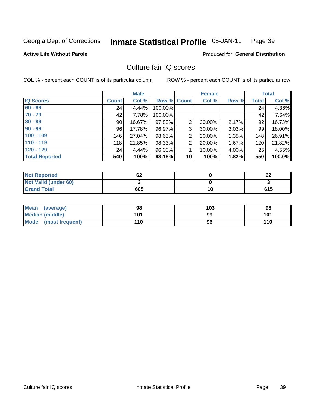#### **Inmate Statistical Profile 05-JAN-11** Page 39

### **Active Life Without Parole**

Produced for General Distribution

## Culture fair IQ scores

COL % - percent each COUNT is of its particular column

|                       |              | <b>Male</b> |                    |                 | <b>Female</b> |          |              | <b>Total</b> |
|-----------------------|--------------|-------------|--------------------|-----------------|---------------|----------|--------------|--------------|
| <b>IQ Scores</b>      | <b>Count</b> | Col %       | <b>Row % Count</b> |                 | Col %         | Row %    | <b>Total</b> | Col %        |
| $60 - 69$             | 24           | 4.44%       | 100.00%            |                 |               |          | 24           | 4.36%        |
| $70 - 79$             | 42           | 7.78%       | 100.00%            |                 |               |          | 42           | 7.64%        |
| $80 - 89$             | 90           | 16.67%      | 97.83%             | 2               | 20.00%        | 2.17%    | 92           | 16.73%       |
| $90 - 99$             | 96           | 17.78%      | 96.97%             | 3               | 30.00%        | $3.03\%$ | 99           | 18.00%       |
| $100 - 109$           | 146          | 27.04%      | 98.65%             | $\overline{2}$  | 20.00%        | 1.35%    | 148          | 26.91%       |
| $110 - 119$           | 118          | 21.85%      | 98.33%             | $\overline{2}$  | 20.00%        | 1.67%    | 120          | 21.82%       |
| $120 - 129$           | 24           | 4.44%       | 96.00%             |                 | 10.00%        | 4.00%    | 25           | 4.55%        |
| <b>Total Reported</b> | 540          | 100%        | 98.18%             | 10 <sup>1</sup> | 100%          | 1.82%    | 550          | 100.0%       |

| <b>Not Reported</b>         | r n<br>. OZ |    | 62  |
|-----------------------------|-------------|----|-----|
| <b>Not Valid (under 60)</b> |             |    |     |
| <b>Grand Total</b>          | 605         | 10 | 615 |

| <b>Mean</b><br>(average)       | 98  | 103 | 98  |
|--------------------------------|-----|-----|-----|
| <b>Median (middle)</b>         | 101 | 99  | 101 |
| <b>Mode</b><br>(most frequent) | 110 | 96  | 110 |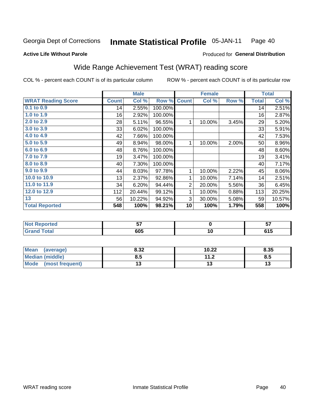#### **Inmate Statistical Profile 05-JAN-11** Page 40

### **Active Life Without Parole**

## Produced for General Distribution

## Wide Range Achievement Test (WRAT) reading score

COL % - percent each COUNT is of its particular column

ROW % - percent each COUNT is of its particular row

 $\overline{10}$ 

|                           |              | <b>Male</b> |         |                | <b>Female</b> |          |              | <b>Total</b> |
|---------------------------|--------------|-------------|---------|----------------|---------------|----------|--------------|--------------|
| <b>WRAT Reading Score</b> | <b>Count</b> | Col %       | Row %   | <b>Count</b>   | Col %         | Row %    | <b>Total</b> | Col %        |
| 0.1 to 0.9                | 14           | 2.55%       | 100.00% |                |               |          | 14           | 2.51%        |
| 1.0 to 1.9                | 16           | 2.92%       | 100.00% |                |               |          | 16           | 2.87%        |
| 2.0 to 2.9                | 28           | 5.11%       | 96.55%  | 1              | 10.00%        | 3.45%    | 29           | 5.20%        |
| 3.0 to 3.9                | 33           | 6.02%       | 100.00% |                |               |          | 33           | 5.91%        |
| 4.0 to 4.9                | 42           | 7.66%       | 100.00% |                |               |          | 42           | 7.53%        |
| 5.0 to 5.9                | 49           | 8.94%       | 98.00%  | 1              | 10.00%        | $2.00\%$ | 50           | 8.96%        |
| 6.0 to 6.9                | 48           | 8.76%       | 100.00% |                |               |          | 48           | 8.60%        |
| 7.0 to 7.9                | 19           | 3.47%       | 100.00% |                |               |          | 19           | 3.41%        |
| 8.0 to 8.9                | 40           | 7.30%       | 100.00% |                |               |          | 40           | 7.17%        |
| 9.0 to 9.9                | 44           | 8.03%       | 97.78%  | 1              | 10.00%        | 2.22%    | 45           | 8.06%        |
| 10.0 to 10.9              | 13           | 2.37%       | 92.86%  | 1              | 10.00%        | 7.14%    | 14           | 2.51%        |
| 11.0 to 11.9              | 34           | 6.20%       | 94.44%  | $\overline{2}$ | 20.00%        | 5.56%    | 36           | 6.45%        |
| 12.0 to 12.9              | 112          | 20.44%      | 99.12%  | 1              | 10.00%        | 0.88%    | 113          | 20.25%       |
| 13                        | 56           | 10.22%      | 94.92%  | 3              | 30.00%        | 5.08%    | 59           | 10.57%       |
| <b>Total Reported</b>     | 548          | 100%        | 98.21%  | 10             | 100%          | 1.79%    | 558          | 100%         |
|                           |              |             |         |                |               |          |              |              |
| <b>Not Reported</b>       |              | 57          |         |                | $\pmb{0}$     |          |              | 57           |

| Mean<br>(average)              | 8.32 | 10.22        | 8.35 |
|--------------------------------|------|--------------|------|
| Median (middle)                | ช.5  | 112<br>. . Z | c.o  |
| <b>Mode</b><br>(most frequent) |      | ں ۔          | IJ   |

 $605$ 

**Grand Total** 

 $615$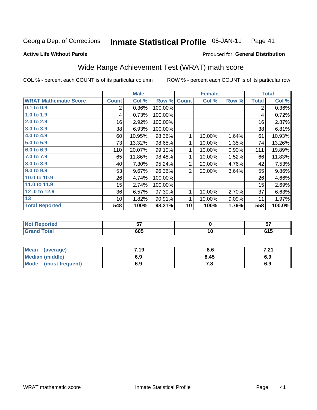#### **Inmate Statistical Profile 05-JAN-11** Page 41

### **Active Life Without Parole**

## Produced for General Distribution

## Wide Range Achievement Test (WRAT) math score

COL % - percent each COUNT is of its particular column

|                              |              | <b>Male</b>     |         | <b>Female</b>  |             |       | <b>Total</b>   |        |
|------------------------------|--------------|-----------------|---------|----------------|-------------|-------|----------------|--------|
| <b>WRAT Mathematic Score</b> | <b>Count</b> | Col %           | Row %   | <b>Count</b>   | Col %       | Row % | <b>Total</b>   | Col %  |
| 0.1 to 0.9                   | 2            | 0.36%           | 100.00% |                |             |       | $\overline{2}$ | 0.36%  |
| 1.0 to 1.9                   | 4            | 0.73%           | 100.00% |                |             |       | 4              | 0.72%  |
| 2.0 to 2.9                   | 16           | 2.92%           | 100.00% |                |             |       | 16             | 2.87%  |
| 3.0 to 3.9                   | 38           | 6.93%           | 100.00% |                |             |       | 38             | 6.81%  |
| 4.0 to 4.9                   | 60           | 10.95%          | 98.36%  | 1              | 10.00%      | 1.64% | 61             | 10.93% |
| 5.0 to 5.9                   | 73           | 13.32%          | 98.65%  | 1              | 10.00%      | 1.35% | 74             | 13.26% |
| 6.0 to 6.9                   | 110          | 20.07%          | 99.10%  | 1              | 10.00%      | 0.90% | 111            | 19.89% |
| 7.0 to 7.9                   | 65           | 11.86%          | 98.48%  | $\mathbf{1}$   | 10.00%      | 1.52% | 66             | 11.83% |
| 8.0 to 8.9                   | 40           | 7.30%           | 95.24%  | $\overline{2}$ | 20.00%      | 4.76% | 42             | 7.53%  |
| 9.0 to 9.9                   | 53           | 9.67%           | 96.36%  | $\overline{2}$ | 20.00%      | 3.64% | 55             | 9.86%  |
| 10.0 to 10.9                 | 26           | 4.74%           | 100.00% |                |             |       | 26             | 4.66%  |
| 11.0 to 11.9                 | 15           | 2.74%           | 100.00% |                |             |       | 15             | 2.69%  |
| 12.0 to 12.9                 | 36           | 6.57%           | 97.30%  | 1              | 10.00%      | 2.70% | 37             | 6.63%  |
| 13                           | 10           | 1.82%           | 90.91%  | 1              | 10.00%      | 9.09% | 11             | 1.97%  |
| <b>Total Reported</b>        | 548          | 100%            | 98.21%  | 10             | 100%        | 1.79% | 558            | 100.0% |
|                              |              |                 |         |                |             |       |                |        |
| <b>Not Reported</b>          |              | $\overline{57}$ |         |                | $\mathbf 0$ |       |                | 57     |
| <b>Grand Total</b>           |              | 605             |         |                | 10          |       |                | 615    |

| Mean<br>(average)       | 7.19 | 8.6  | ו הי<br>$\cdot$ . $\sim$ . |
|-------------------------|------|------|----------------------------|
| <b>Median (middle)</b>  | 6.9  | 8.45 | 6.9                        |
| Mode<br>(most frequent) | 6.9  | 7. a | 6.9                        |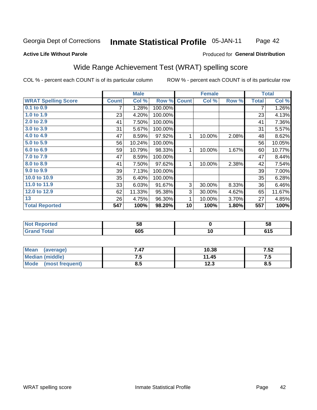#### **Inmate Statistical Profile 05-JAN-11** Page 42

### **Active Life Without Parole**

### Produced for General Distribution

## Wide Range Achievement Test (WRAT) spelling score

COL % - percent each COUNT is of its particular column

ROW % - percent each COUNT is of its particular row

 $\overline{10}$ 

|                            |              | <b>Male</b> |         |              | <b>Female</b> |       |              | <b>Total</b> |
|----------------------------|--------------|-------------|---------|--------------|---------------|-------|--------------|--------------|
| <b>WRAT Spelling Score</b> | <b>Count</b> | Col %       | Row %   | <b>Count</b> | Col %         | Row % | <b>Total</b> | Col %        |
| 0.1 to 0.9                 | 7            | 1.28%       | 100.00% |              |               |       | 7            | 1.26%        |
| 1.0 to 1.9                 | 23           | 4.20%       | 100.00% |              |               |       | 23           | 4.13%        |
| 2.0 to 2.9                 | 41           | 7.50%       | 100.00% |              |               |       | 41           | 7.36%        |
| 3.0 to 3.9                 | 31           | 5.67%       | 100.00% |              |               |       | 31           | 5.57%        |
| 4.0 to 4.9                 | 47           | 8.59%       | 97.92%  | 1            | 10.00%        | 2.08% | 48           | 8.62%        |
| 5.0 to 5.9                 | 56           | 10.24%      | 100.00% |              |               |       | 56           | 10.05%       |
| 6.0 to 6.9                 | 59           | 10.79%      | 98.33%  | 1            | 10.00%        | 1.67% | 60           | 10.77%       |
| 7.0 to 7.9                 | 47           | 8.59%       | 100.00% |              |               |       | 47           | 8.44%        |
| 8.0 to 8.9                 | 41           | 7.50%       | 97.62%  | 1            | 10.00%        | 2.38% | 42           | 7.54%        |
| 9.0 to 9.9                 | 39           | 7.13%       | 100.00% |              |               |       | 39           | 7.00%        |
| 10.0 to 10.9               | 35           | 6.40%       | 100.00% |              |               |       | 35           | 6.28%        |
| 11.0 to 11.9               | 33           | 6.03%       | 91.67%  | 3            | 30.00%        | 8.33% | 36           | 6.46%        |
| 12.0 to 12.9               | 62           | 11.33%      | 95.38%  | 3            | 30.00%        | 4.62% | 65           | 11.67%       |
| 13                         | 26           | 4.75%       | 96.30%  | 1            | 10.00%        | 3.70% | 27           | 4.85%        |
| <b>Total Reported</b>      | 547          | 100%        | 98.20%  | 10           | 100%          | 1.80% | 557          | 100%         |
|                            |              |             |         |              |               |       |              |              |
| <b>Not Reported</b>        |              | 58          |         |              | $\bf{0}$      |       |              | 58           |

| Mean<br>(average)       | 7.47 | 10.38 | 7.52 |
|-------------------------|------|-------|------|
| <b>Median (middle)</b>  | 7.5  | 11.45 | c. 1 |
| Mode<br>(most frequent) | 8.5  | 12.3  | 8.5  |

 $605$ 

**Grand Total** 

 $615$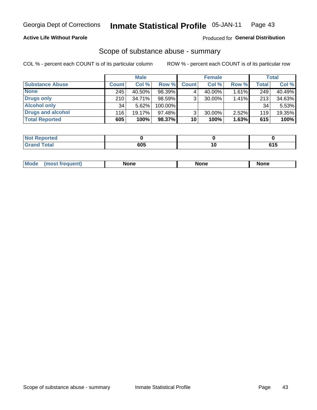## **Active Life Without Parole**

### Produced for General Distribution

## Scope of substance abuse - summary

COL % - percent each COUNT is of its particular column

|                        |              | <b>Male</b> |           |              | <b>Female</b> |          |       | Total  |
|------------------------|--------------|-------------|-----------|--------------|---------------|----------|-------|--------|
| <b>Substance Abuse</b> | <b>Count</b> | Col %       | Row %     | <b>Count</b> | Col %         | Row %    | Total | Col %  |
| <b>None</b>            | 245          | 40.50%      | 98.39%    |              | 40.00%        | $1.61\%$ | 249   | 40.49% |
| <b>Drugs only</b>      | 210          | 34.71%      | $98.59\%$ |              | 30.00%        | 1.41%    | 213   | 34.63% |
| <b>Alcohol only</b>    | 34           | $5.62\%$    | 100.00%   |              |               |          | 34    | 5.53%  |
| Drugs and alcohol      | 116          | 19.17%      | $97.48\%$ |              | 30.00%        | $2.52\%$ | 119   | 19.35% |
| <b>Total Reported</b>  | 605          | 100%        | 98.37%    | 10           | 100%          | 1.63%    | 615   | 100%   |

| <b>Not</b><br>Reported |     |             |
|------------------------|-----|-------------|
| <b>Grand Total</b>     | 605 | C4 E<br>,,, |

| <b>Mod</b><br>'one<br>None<br><b>None</b> |
|-------------------------------------------|
|-------------------------------------------|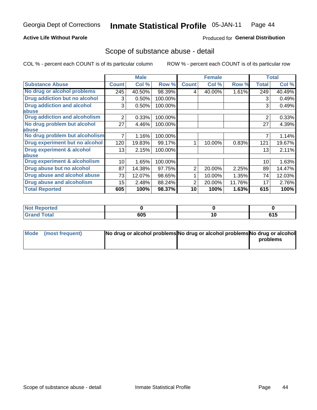## **Active Life Without Parole**

## **Produced for General Distribution**

## Scope of substance abuse - detail

COL % - percent each COUNT is of its particular column

|                                         |              | <b>Male</b> |         |              | <b>Female</b> |        |                | <b>Total</b> |
|-----------------------------------------|--------------|-------------|---------|--------------|---------------|--------|----------------|--------------|
| <b>Substance Abuse</b>                  | <b>Count</b> | Col %       | Row %   | <b>Count</b> | Col %         | Row %  | <b>Total</b>   | Col %        |
| No drug or alcohol problems             | 245          | 40.50%      | 98.39%  | 4            | 40.00%        | 1.61%  | 249            | 40.49%       |
| Drug addiction but no alcohol           | 3            | 0.50%       | 100.00% |              |               |        | 3              | 0.49%        |
| <b>Drug addiction and alcohol</b>       | 3            | 0.50%       | 100.00% |              |               |        | 3              | 0.49%        |
| abuse                                   |              |             |         |              |               |        |                |              |
| <b>Drug addiction and alcoholism</b>    | 2            | 0.33%       | 100.00% |              |               |        | $\overline{2}$ | 0.33%        |
| No drug problem but alcohol             | 27           | 4.46%       | 100.00% |              |               |        | 27             | 4.39%        |
| abuse                                   |              |             |         |              |               |        |                |              |
| No drug problem but alcoholism          |              | 1.16%       | 100.00% |              |               |        |                | 1.14%        |
| Drug experiment but no alcohol          | 120          | 19.83%      | 99.17%  |              | 10.00%        | 0.83%  | 121            | 19.67%       |
| <b>Drug experiment &amp; alcohol</b>    | 13           | 2.15%       | 100.00% |              |               |        | 13             | 2.11%        |
| abuse                                   |              |             |         |              |               |        |                |              |
| <b>Drug experiment &amp; alcoholism</b> | 10           | 1.65%       | 100.00% |              |               |        | 10             | 1.63%        |
| Drug abuse but no alcohol               | 87           | 14.38%      | 97.75%  | 2            | 20.00%        | 2.25%  | 89             | 14.47%       |
| Drug abuse and alcohol abuse            | 73           | 12.07%      | 98.65%  |              | 10.00%        | 1.35%  | 74             | 12.03%       |
| <b>Drug abuse and alcoholism</b>        | 15           | 2.48%       | 88.24%  | 2            | 20.00%        | 11.76% | 17             | 2.76%        |
| <b>Total Reported</b>                   | 605          | 100%        | 98.37%  | 10           | 100%          | 1.63%  | 615            | 100%         |

| ported<br><b>NOT</b> |     |     |       |
|----------------------|-----|-----|-------|
| int                  | 605 | A 1 | 64 E  |
| _____                |     | טו  | ט ו ט |

| Mode (most frequent) | No drug or alcohol problems No drug or alcohol problems No drug or alcohol |          |
|----------------------|----------------------------------------------------------------------------|----------|
|                      |                                                                            | problems |
|                      |                                                                            |          |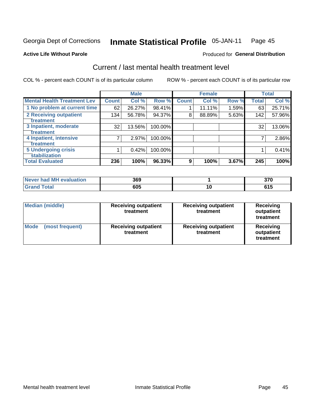#### Inmate Statistical Profile 05-JAN-11 Page 45

#### **Active Life Without Parole**

## **Produced for General Distribution**

## Current / last mental health treatment level

COL % - percent each COUNT is of its particular column

|                                    |              | <b>Male</b> |         |              | <b>Female</b> |       |              | <b>Total</b> |
|------------------------------------|--------------|-------------|---------|--------------|---------------|-------|--------------|--------------|
| <b>Mental Health Treatment Lev</b> | <b>Count</b> | Col %       | Row %   | <b>Count</b> | Col %         | Row % | <b>Total</b> | Col %        |
| 1 No problem at current time       | 62           | 26.27%      | 98.41%  |              | 11.11%        | 1.59% | 63           | 25.71%       |
| 2 Receiving outpatient             | 134          | 56.78%      | 94.37%  | 8            | 88.89%        | 5.63% | 142          | 57.96%       |
| <b>Treatment</b>                   |              |             |         |              |               |       |              |              |
| 3 Inpatient, moderate              | 32           | 13.56%      | 100.00% |              |               |       | 32           | 13.06%       |
| Treatment                          |              |             |         |              |               |       |              |              |
| 4 Inpatient, intensive             | 7            | 2.97%       | 100.00% |              |               |       |              | 2.86%        |
| <b>Treatment</b>                   |              |             |         |              |               |       |              |              |
| <b>5 Undergoing crisis</b>         |              | 0.42%       | 100.00% |              |               |       |              | 0.41%        |
| <b>stabilization</b>               |              |             |         |              |               |       |              |              |
| <b>Total Evaluated</b>             | 236          | 100%        | 96.33%  | 9            | 100%          | 3.67% | 245          | 100%         |

| evaluation<br><b>I</b> Never had MH | 369          |    | $\sim$<br>JI L |
|-------------------------------------|--------------|----|----------------|
|                                     | 605<br>- - - | IО | .              |

| <b>Median (middle)</b>  | <b>Receiving outpatient</b><br>treatment | <b>Receiving outpatient</b><br>treatment | <b>Receiving</b><br>outpatient<br>treatment |  |  |
|-------------------------|------------------------------------------|------------------------------------------|---------------------------------------------|--|--|
| Mode<br>(most frequent) | <b>Receiving outpatient</b><br>treatment | <b>Receiving outpatient</b><br>treatment | Receiving<br>outpatient<br>treatment        |  |  |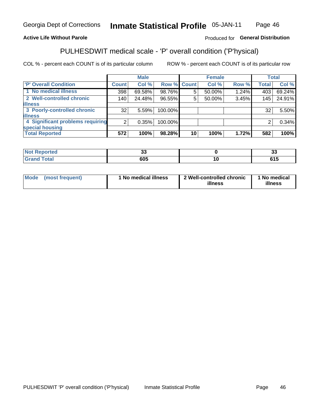#### Inmate Statistical Profile 05-JAN-11 Page 46

## **Active Life Without Parole**

## Produced for General Distribution

## PULHESDWIT medical scale - 'P' overall condition ('P'hysical)

COL % - percent each COUNT is of its particular column

|                                  |         | <b>Male</b> |         |             | <b>Female</b> |       |              | <b>Total</b> |
|----------------------------------|---------|-------------|---------|-------------|---------------|-------|--------------|--------------|
| 'P' Overall Condition            | Count l | Col %       |         | Row % Count | Col %         | Row % | <b>Total</b> | Col %        |
| 1 No medical illness             | 398     | 69.58%      | 98.76%  | 5           | 50.00%        | 1.24% | 403          | 69.24%       |
| 2 Well-controlled chronic        | 140     | 24.48%      | 96.55%  | 5           | 50.00%        | 3.45% | 145          | 24.91%       |
| <b>illness</b>                   |         |             |         |             |               |       |              |              |
| 3 Poorly-controlled chronic      | 32      | 5.59%       | 100.00% |             |               |       | 32           | 5.50%        |
| <b>illness</b>                   |         |             |         |             |               |       |              |              |
| 4 Significant problems requiring | 2       | 0.35%       | 100.00% |             |               |       | 2            | 0.34%        |
| special housing                  |         |             |         |             |               |       |              |              |
| <b>Total Reported</b>            | 572     | 100%        | 98.28%  | 10          | 100%          | 1.72% | 582          | 100%         |

| τeα          | $\ddot{\phantom{0}}$<br>. | ິ        |
|--------------|---------------------------|----------|
| <b>TULAI</b> | 605                       | .<br>טוט |

| Mode | (most frequent) | <sup>1</sup> No medical illness | 2 Well-controlled chronic<br>illness | 1 No medical<br>illness |
|------|-----------------|---------------------------------|--------------------------------------|-------------------------|
|------|-----------------|---------------------------------|--------------------------------------|-------------------------|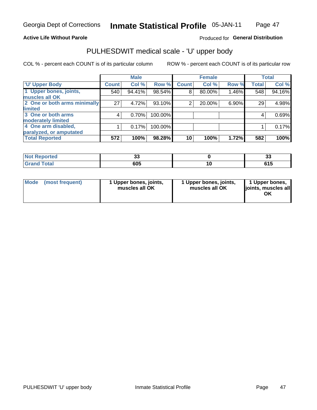### **Active Life Without Parole**

## Produced for General Distribution

# PULHESDWIT medical scale - 'U' upper body

COL % - percent each COUNT is of its particular column

|                              |                 | <b>Male</b> |         |                | <b>Female</b> |       |              | <b>Total</b> |
|------------------------------|-----------------|-------------|---------|----------------|---------------|-------|--------------|--------------|
| <b>U' Upper Body</b>         | <b>Count</b>    | Col %       | Row %   | <b>Count</b>   | Col %         | Row % | <b>Total</b> | Col %        |
| 1 Upper bones, joints,       | 540             | 94.41%      | 98.54%  | 8              | 80.00%        | 1.46% | 548          | 94.16%       |
| muscles all OK               |                 |             |         |                |               |       |              |              |
| 2 One or both arms minimally | 27 <sub>1</sub> | 4.72%       | 93.10%  | $\overline{2}$ | 20.00%        | 6.90% | 29           | 4.98%        |
| <b>limited</b>               |                 |             |         |                |               |       |              |              |
| 3 One or both arms           | 4               | 0.70%       | 100.00% |                |               |       | 4            | 0.69%        |
| <b>moderately limited</b>    |                 |             |         |                |               |       |              |              |
| 4 One arm disabled,          |                 | 0.17%       | 100.00% |                |               |       |              | 0.17%        |
| paralyzed, or amputated      |                 |             |         |                |               |       |              |              |
| <b>Total Reported</b>        | 572             | 100%        | 98.28%  | 10             | 100%          | 1.72% | 582          | 100%         |

| prted<br><b>NOT REDO</b><br>$\sim$ . The set of $\sim$ | vu  | $\ddot{\phantom{0}}$<br>J. |
|--------------------------------------------------------|-----|----------------------------|
| <b>Total</b><br>------                                 | 605 | u i j                      |

|  | Mode (most frequent) | 1 Upper bones, joints,<br>muscles all OK | 1 Upper bones, joints,<br>muscles all OK | 1 Upper bones,<br>ljoints, muscles all<br>ΟK |
|--|----------------------|------------------------------------------|------------------------------------------|----------------------------------------------|
|--|----------------------|------------------------------------------|------------------------------------------|----------------------------------------------|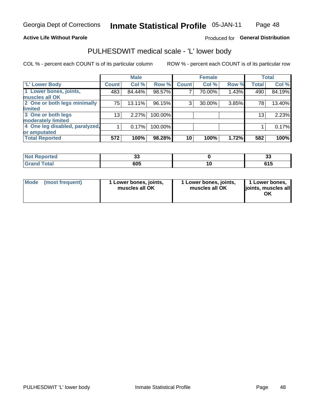### **Active Life Without Parole**

## Produced for General Distribution

## PULHESDWIT medical scale - 'L' lower body

COL % - percent each COUNT is of its particular column

|                                |              | <b>Male</b> |         |              | <b>Female</b> |       |                 | <b>Total</b> |
|--------------------------------|--------------|-------------|---------|--------------|---------------|-------|-----------------|--------------|
| 'L' Lower Body                 | <b>Count</b> | Col %       | Row %   | <b>Count</b> | Col %         | Row % | <b>Total</b>    | Col %        |
| 1 Lower bones, joints,         | 483          | 84.44%      | 98.57%  |              | 70.00%        | 1.43% | 490             | 84.19%       |
| muscles all OK                 |              |             |         |              |               |       |                 |              |
| 2 One or both legs minimally   | 75           | 13.11%      | 96.15%  | 3            | 30.00%        | 3.85% | 78              | 13.40%       |
| limited                        |              |             |         |              |               |       |                 |              |
| 3 One or both legs             | 13           | 2.27%       | 100.00% |              |               |       | 13 <sub>1</sub> | 2.23%        |
| moderately limited             |              |             |         |              |               |       |                 |              |
| 4 One leg disabled, paralyzed, |              | 0.17%       | 100.00% |              |               |       |                 | 0.17%        |
| or amputated                   |              |             |         |              |               |       |                 |              |
| <b>Total Reported</b>          | 572          | 100%        | 98.28%  | 10           | 100%          | 1.72% | 582             | 100%         |

| <b>Not Reported</b>              | vu  | $\ddot{\phantom{0}}$<br>J. |
|----------------------------------|-----|----------------------------|
| <b>Total</b><br>Grar<br>ا الله ا | 605 | u i j                      |

| Mode | (most frequent) | 1 Lower bones, joints,<br>muscles all OK | 1 Lower bones, joints,<br>muscles all OK | 1 Lower bones,<br>ljoints, muscles all<br>ΟK |
|------|-----------------|------------------------------------------|------------------------------------------|----------------------------------------------|
|------|-----------------|------------------------------------------|------------------------------------------|----------------------------------------------|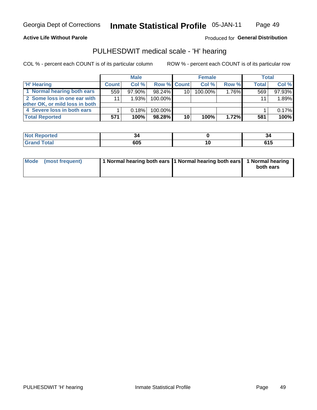### **Active Life Without Parole**

Produced for General Distribution

## PULHESDWIT medical scale - 'H' hearing

COL % - percent each COUNT is of its particular column

|                                |              | <b>Male</b> |                    |    | <b>Female</b> |          | <b>Total</b> |        |
|--------------------------------|--------------|-------------|--------------------|----|---------------|----------|--------------|--------|
| <b>H' Hearing</b>              | <b>Count</b> | Col %       | <b>Row % Count</b> |    | Col %         | Row %    | <b>Total</b> | Col %  |
| 1 Normal hearing both ears     | 559          | $97.90\%$   | 98.24%             | 10 | 100.00%       | $1.76\%$ | 569          | 97.93% |
| 2 Some loss in one ear with    | 11           | 1.93%       | 100.00%            |    |               |          | 11           | 1.89%  |
| other OK, or mild loss in both |              |             |                    |    |               |          |              |        |
| 4 Severe loss in both ears     |              | 0.18%       | 100.00%            |    |               |          |              | 0.17%  |
| <b>Total Reported</b>          | 571          | 100%        | $98.28\%$          | 10 | 100%          | $1.72\%$ | 581          | 100%   |

| rteo        |                   | -54 |
|-------------|-------------------|-----|
| $C = 4 - 7$ | <b>COF</b><br>υυυ | 615 |

| Mode (most frequent) | 1 Normal hearing both ears 11 Normal hearing both ears 1 Normal hearing |           |
|----------------------|-------------------------------------------------------------------------|-----------|
|                      |                                                                         | both ears |
|                      |                                                                         |           |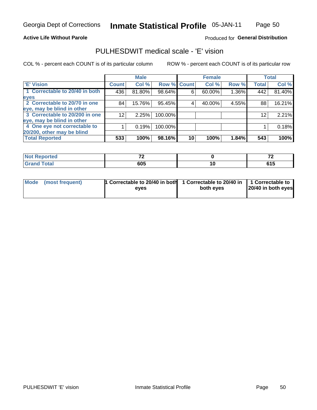Page 50

### **Active Life Without Parole**

## Produced for General Distribution

## PULHESDWIT medical scale - 'E' vision

COL % - percent each COUNT is of its particular column

|                                |                 | <b>Male</b> |             |    | <b>Female</b> |       |              | <b>Total</b> |
|--------------------------------|-----------------|-------------|-------------|----|---------------|-------|--------------|--------------|
| <b>E' Vision</b>               | <b>Count</b>    | Col %       | Row % Count |    | Col %         | Row % | <b>Total</b> | Col %        |
| 1 Correctable to 20/40 in both | 436             | 81.80%      | 98.64%      | 6  | 60.00%        | 1.36% | 442          | 81.40%       |
| eyes                           |                 |             |             |    |               |       |              |              |
| 2 Correctable to 20/70 in one  | 84              | 15.76%      | 95.45%      |    | 40.00%        | 4.55% | 88           | 16.21%       |
| eye, may be blind in other     |                 |             |             |    |               |       |              |              |
| 3 Correctable to 20/200 in one | 12 <sub>1</sub> | 2.25%       | 100.00%     |    |               |       | 12           | 2.21%        |
| eye, may be blind in other     |                 |             |             |    |               |       |              |              |
| 4 One eye not correctable to   |                 | 0.19%       | 100.00%     |    |               |       |              | 0.18%        |
| 20/200, other may be blind     |                 |             |             |    |               |       |              |              |
| <b>Total Reported</b>          | 533             | 100%        | 98.16%      | 10 | 100%          | 1.84% | 543          | 100%         |

| <b>Not Reported</b><br>. <b>.</b> | $\rightarrow$ |     | $\rightarrow$<br>. . |
|-----------------------------------|---------------|-----|----------------------|
| <b>Total</b>                      | 605           | 1 V | . . J                |

| Mode (most frequent) | <sup>1</sup> Correctable to 20/40 in both 1 Correctable to 20/40 in 1 Correctable to<br>eves | both eyes | 20/40 in both eyes |
|----------------------|----------------------------------------------------------------------------------------------|-----------|--------------------|
|                      |                                                                                              |           |                    |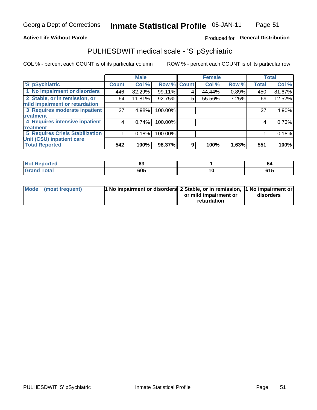### **Active Life Without Parole**

## Produced for General Distribution

## PULHESDWIT medical scale - 'S' pSychiatric

COL % - percent each COUNT is of its particular column

|                                        |              | <b>Male</b> |         |             | <b>Female</b> |       |              | <b>Total</b> |
|----------------------------------------|--------------|-------------|---------|-------------|---------------|-------|--------------|--------------|
| 'S' pSychiatric                        | <b>Count</b> | Col %       |         | Row % Count | Col %         | Row % | <b>Total</b> | Col %        |
| 1 No impairment or disorders           | 446          | 82.29%      | 99.11%  | 4           | 44.44%        | 0.89% | 450          | 81.67%       |
| 2 Stable, or in remission, or          | 64           | 11.81%      | 92.75%  | 5           | 55.56%        | 7.25% | 69           | 12.52%       |
| mild impairment or retardation         |              |             |         |             |               |       |              |              |
| 3 Requires moderate inpatient          | 27           | 4.98%       | 100.00% |             |               |       | 27           | 4.90%        |
| treatment                              |              |             |         |             |               |       |              |              |
| 4 Requires intensive inpatient         | 4            | 0.74%       | 100.00% |             |               |       | 4            | 0.73%        |
| treatment                              |              |             |         |             |               |       |              |              |
| <b>5 Requires Crisis Stabilization</b> |              | 0.18%       | 100.00% |             |               |       |              | 0.18%        |
| Unit (CSU) inpatient care              |              |             |         |             |               |       |              |              |
| <b>Total Reported</b>                  | 542          | 100%        | 98.37%  | 9           | 100%          | 1.63% | 551          | 100%         |

| <b>Not Reported</b>         | $\overline{\phantom{a}}$<br>v. |    | 64                         |
|-----------------------------|--------------------------------|----|----------------------------|
| <b>Total</b><br><b>Grap</b> | 605                            | ıα | <b>CAL</b><br><b>v</b> I J |

| Mode (most frequent) | <b>1 No impairment or disorders</b> 2 Stable, or in remission, 11 No impairment or |                       |           |
|----------------------|------------------------------------------------------------------------------------|-----------------------|-----------|
|                      |                                                                                    | or mild impairment or | disorders |
|                      |                                                                                    | retardation           |           |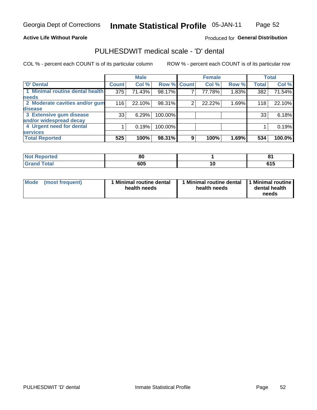### **Active Life Without Parole**

## Produced for General Distribution

## PULHESDWIT medical scale - 'D' dental

COL % - percent each COUNT is of its particular column

|                                 |              | <b>Male</b> |             |   | <b>Female</b> |       |              | <b>Total</b> |
|---------------------------------|--------------|-------------|-------------|---|---------------|-------|--------------|--------------|
| <b>D'</b> Dental                | <b>Count</b> | Col %       | Row % Count |   | Col %         | Row % | <b>Total</b> | Col %        |
| 1 Minimal routine dental health | 375          | 71.43%      | 98.17%      |   | 77.78%        | 1.83% | 382          | 71.54%       |
| <b>needs</b>                    |              |             |             |   |               |       |              |              |
| 2 Moderate cavities and/or gum  | 116          | 22.10%      | 98.31%      | 2 | 22.22%        | 1.69% | 118          | 22.10%       |
| disease                         |              |             |             |   |               |       |              |              |
| 3 Extensive gum disease         | 33           | 6.29%       | 100.00%     |   |               |       | 33           | 6.18%        |
| and/or widespread decay         |              |             |             |   |               |       |              |              |
| 4 Urgent need for dental        |              | 0.19%       | 100.00%     |   |               |       |              | 0.19%        |
| <b>services</b>                 |              |             |             |   |               |       |              |              |
| <b>Total Reported</b>           | 525          | 100%        | 98.31%      | 9 | 100%          | 1.69% | 534          | 100.0%       |

| <b>Not Reported</b> | 01<br>o |    | п.            |
|---------------------|---------|----|---------------|
| Total               | 605     | าเ | ra E<br>. . J |

| <b>Mode</b> | (most frequent) | <b>Minimal routine dental</b><br>health needs | 1 Minimal routine dental<br>health needs | <b>11 Minimal routine I</b><br>dental health<br>needs |
|-------------|-----------------|-----------------------------------------------|------------------------------------------|-------------------------------------------------------|
|-------------|-----------------|-----------------------------------------------|------------------------------------------|-------------------------------------------------------|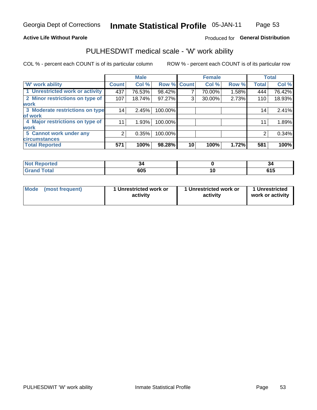### **Active Life Without Parole**

## Produced for General Distribution

## PULHESDWIT medical scale - 'W' work ability

COL % - percent each COUNT is of its particular column

|                                 |              | <b>Male</b> |         |             | <b>Female</b> |       |              | <b>Total</b> |
|---------------------------------|--------------|-------------|---------|-------------|---------------|-------|--------------|--------------|
| <b>W' work ability</b>          | <b>Count</b> | Col %       |         | Row % Count | Col %         | Row % | <b>Total</b> | Col %        |
| 1 Unrestricted work or activity | 437          | 76.53%      | 98.42%  |             | 70.00%        | 1.58% | 444          | 76.42%       |
| 2 Minor restrictions on type of | 107          | 18.74%      | 97.27%  | 3           | 30.00%        | 2.73% | 110          | 18.93%       |
| <b>work</b>                     |              |             |         |             |               |       |              |              |
| 3 Moderate restrictions on type | 14           | 2.45%       | 100.00% |             |               |       | 14           | 2.41%        |
| lof work                        |              |             |         |             |               |       |              |              |
| 4 Major restrictions on type of | 11           | 1.93%       | 100.00% |             |               |       | 11           | 1.89%        |
| <b>work</b>                     |              |             |         |             |               |       |              |              |
| 5 Cannot work under any         | 2            | 0.35%       | 100.00% |             |               |       | 2            | 0.34%        |
| <b>circumstances</b>            |              |             |         |             |               |       |              |              |
| <b>Total Reported</b>           | 571          | 100%        | 98.28%  | 10          | 100%          | 1.72% | 581          | 100%         |

| <b>Not Reported</b>  | J.<br>$\sim$ | -94           |
|----------------------|--------------|---------------|
| <b>Total</b><br>CHOM | 605          | ra E<br>U I J |

| Mode (most frequent) | 1 Unrestricted work or | 1 Unrestricted work or | 1 Unrestricted   |
|----------------------|------------------------|------------------------|------------------|
|                      | activity               | activity               | work or activity |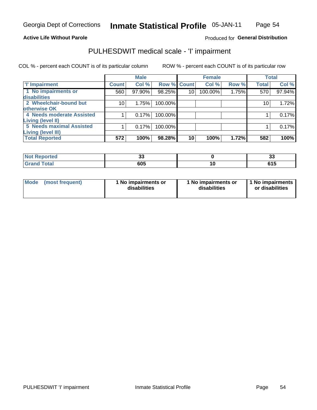## **Active Life Without Parole**

## Produced for General Distribution

## PULHESDWIT medical scale - 'I' impairment

COL % - percent each COUNT is of its particular column ROW % - percent each COUNT is of its particular row

|                           |                 | <b>Male</b> |             |                 | <b>Female</b> |       |              | <b>Total</b> |
|---------------------------|-----------------|-------------|-------------|-----------------|---------------|-------|--------------|--------------|
| <b>T' Impairment</b>      | <b>Count</b>    | Col %       | Row % Count |                 | Col %         | Row % | <b>Total</b> | Col %        |
| 1 No impairments or       | 560             | 97.90%      | 98.25%      | 10 <sup>1</sup> | 100.00%       | 1.75% | 570          | 97.94%       |
| disabilities              |                 |             |             |                 |               |       |              |              |
| 2 Wheelchair-bound but    | 10 <sub>1</sub> | 1.75%       | 100.00%     |                 |               |       | 10           | 1.72%        |
| otherwise OK              |                 |             |             |                 |               |       |              |              |
| 4 Needs moderate Assisted |                 | 0.17%       | 100.00%     |                 |               |       |              | 0.17%        |
| Living (level II)         |                 |             |             |                 |               |       |              |              |
| 5 Needs maximal Assisted  |                 | 0.17%       | 100.00%     |                 |               |       |              | 0.17%        |
| <b>Living (level III)</b> |                 |             |             |                 |               |       |              |              |
| <b>Total Reported</b>     | 572             | 100%        | 98.28%      | 10              | 100%          | 1.72% | 582          | 100%         |

| Reported | ~<br>JJ |    | <br>ഄഄ |
|----------|---------|----|--------|
| Total    | 605     | ч. | טונ    |

| Mode | (most frequent) | 1 No impairments or<br>disabilities | 1 No impairments or<br>disabilities | 1 No impairments  <br>or disabilities |
|------|-----------------|-------------------------------------|-------------------------------------|---------------------------------------|
|------|-----------------|-------------------------------------|-------------------------------------|---------------------------------------|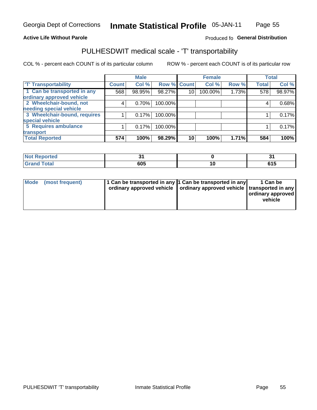### **Active Life Without Parole**

### Produced fo General Distribution

## PULHESDWIT medical scale - 'T' transportability

COL % - percent each COUNT is of its particular column

|                              |              | <b>Male</b> |             |    | <b>Female</b> |       |              | <b>Total</b> |
|------------------------------|--------------|-------------|-------------|----|---------------|-------|--------------|--------------|
| <b>T' Transportability</b>   | <b>Count</b> | Col %       | Row % Count |    | Col %         | Row % | <b>Total</b> | Col %        |
| 1 Can be transported in any  | 568          | 98.95%      | 98.27%      | 10 | 100.00%       | 1.73% | 578          | 98.97%       |
| ordinary approved vehicle    |              |             |             |    |               |       |              |              |
| 2 Wheelchair-bound, not      | 4            | 0.70%       | 100.00%     |    |               |       |              | 0.68%        |
| needing special vehicle      |              |             |             |    |               |       |              |              |
| 3 Wheelchair-bound, requires |              | 0.17%       | 100.00%     |    |               |       |              | 0.17%        |
| special vehicle              |              |             |             |    |               |       |              |              |
| 5 Requires ambulance         |              | 0.17%       | 100.00%     |    |               |       |              | 0.17%        |
| transport                    |              |             |             |    |               |       |              |              |
| <b>Total Reported</b>        | 574          | 100%        | 98.29%      | 10 | 100%          | 1.71% | 584          | 100%         |

| w<br>ported | - - | -<br>v |
|-------------|-----|--------|
|             | 605 | . . J  |

| <b>Mode</b> | (most frequent) | 1 Can be transported in any 1 Can be transported in any | ordinary approved vehicle   ordinary approved vehicle   transported in any | 1 Can be<br>  ordinary approved  <br>vehicle |
|-------------|-----------------|---------------------------------------------------------|----------------------------------------------------------------------------|----------------------------------------------|
|-------------|-----------------|---------------------------------------------------------|----------------------------------------------------------------------------|----------------------------------------------|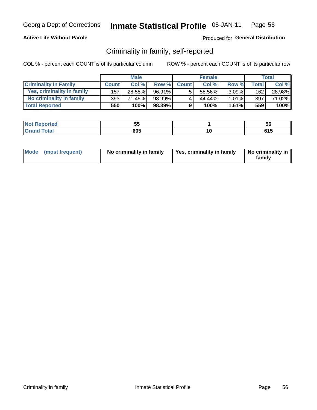## **Active Life Without Parole**

## Produced for General Distribution

## Criminality in family, self-reported

COL % - percent each COUNT is of its particular column

|                              |              | <b>Male</b> |        |              | <b>Female</b> |          |              | Total  |
|------------------------------|--------------|-------------|--------|--------------|---------------|----------|--------------|--------|
| <b>Criminality In Family</b> | <b>Count</b> | Col%        | Row %  | <b>Count</b> | Col %         | Row %    | <b>Total</b> | Col %  |
| Yes, criminality in family   | 157          | 28.55%      | 96.91% | 5            | 55.56%        | $3.09\%$ | 162          | 28.98% |
| No criminality in family     | 393          | 71.45%      | 98.99% | 4            | 44.44%        | $1.01\%$ | 397          | 71.02% |
| <b>Total Reported</b>        | 550          | 100%        | 98.39% | 9            | 100%          | $1.61\%$ | 559          | 100%   |

| <b>Not Reported</b>        | --<br>◡ |    | ວເ    |
|----------------------------|---------|----|-------|
| <b>otal</b><br>Gran<br>uuu | 605     | л. | . . J |

|  | Mode (most frequent) | No criminality in family | Yes, criminality in family | No criminality in<br>family |
|--|----------------------|--------------------------|----------------------------|-----------------------------|
|--|----------------------|--------------------------|----------------------------|-----------------------------|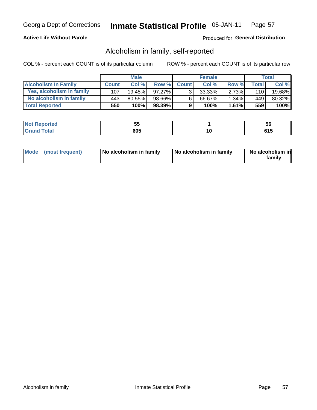## **Active Life Without Parole**

## Produced for General Distribution

## Alcoholism in family, self-reported

COL % - percent each COUNT is of its particular column

|                             |              | <b>Male</b> |        |              | <b>Female</b> |          |                    | Total  |
|-----------------------------|--------------|-------------|--------|--------------|---------------|----------|--------------------|--------|
| <b>Alcoholism In Family</b> | <b>Count</b> | Col%        | Row %  | <b>Count</b> | Col%          | Row %    | Total <sub>I</sub> | Col %  |
| Yes, alcoholism in family   | 107          | $19.45\%$   | 97.27% | 2.           | $33.33\%$     | 2.73%    | 110                | 19.68% |
| No alcoholism in family     | 443          | 80.55%      | 98.66% | <sup>6</sup> | 66.67%        | $1.34\%$ | 449                | 80.32% |
| <b>Total Reported</b>       | 550          | 100%        | 98.39% | 9            | 100%          | $1.61\%$ | 559                | 100%   |

| المنتبط المتعبد<br>keporteal | --<br>w |    | <b>OC</b> |
|------------------------------|---------|----|-----------|
| <b>otal</b>                  | 605     | .u | .<br>. נ  |

|  | Mode (most frequent) | No alcoholism in family | No alcoholism in family | No alcoholism in<br>family |
|--|----------------------|-------------------------|-------------------------|----------------------------|
|--|----------------------|-------------------------|-------------------------|----------------------------|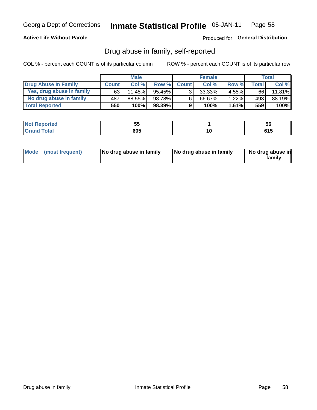## **Active Life Without Parole**

## Produced for General Distribution

## Drug abuse in family, self-reported

COL % - percent each COUNT is of its particular column

|                           |              | <b>Male</b> |           |                | <b>Female</b> |          |       | Total  |
|---------------------------|--------------|-------------|-----------|----------------|---------------|----------|-------|--------|
| Drug Abuse In Family      | <b>Count</b> | Col %       | Row %     | <b>Count</b>   | Col%          | Row %    | Total | Col %  |
| Yes, drug abuse in family | 63           | 11.45%      | 95.45%    | 3 <sub>1</sub> | $33.33\%$     | $4.55\%$ | 66    | 11.81% |
| No drug abuse in family   | 487          | 88.55%      | 98.78%    | 6              | 66.67%        | 1.22%    | 493   | 88.19% |
| <b>Total Reported</b>     | 550          | 100%        | $98.39\%$ | 9              | 100%          | 1.61%    | 559   | 100%   |

| urreo | $ -$<br>uu | эt        |
|-------|------------|-----------|
| --    | 605        | ra E<br>. |

|  | Mode (most frequent) | No drug abuse in family | No drug abuse in family | No drug abuse in<br>family |
|--|----------------------|-------------------------|-------------------------|----------------------------|
|--|----------------------|-------------------------|-------------------------|----------------------------|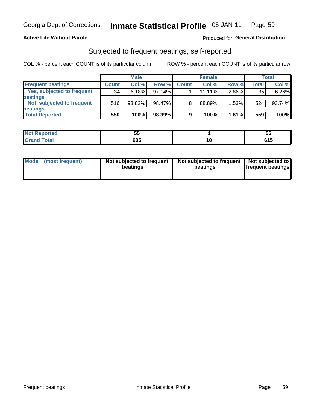### **Active Life Without Parole**

## Produced for General Distribution

## Subjected to frequent beatings, self-reported

COL % - percent each COUNT is of its particular column

|                                   |              | <b>Male</b> |        |              | <b>Female</b> |       |       | Total  |
|-----------------------------------|--------------|-------------|--------|--------------|---------------|-------|-------|--------|
| <b>Frequent beatings</b>          | <b>Count</b> | Col %       | Row %  | <b>Count</b> | Col %         | Row % | Total | Col %  |
| <b>Yes, subjected to frequent</b> | 34           | 6.18%       | 97.14% |              | 11.11%        | 2.86% | 35    | 6.26%  |
| <b>beatings</b>                   |              |             |        |              |               |       |       |        |
| Not subjected to frequent         | 516          | 93.82%      | 98.47% | 8            | 88.89%        | 1.53% | 524   | 93.74% |
| <b>beatings</b>                   |              |             |        |              |               |       |       |        |
| <b>Total Reported</b>             | 550          | 100%        | 98.39% | 9            | 100%          | 1.61% | 559   | 100%   |

| <b>Not Reported</b> | --<br>JJ |     | ้วเ        |
|---------------------|----------|-----|------------|
| <b>Total</b>        | 605      | ı u | C4F<br>UIJ |

| Mode (most frequent) | Not subjected to frequent<br>beatings | Not subjected to frequent<br>beatings | Not subjected to<br><b>frequent beatings</b> |
|----------------------|---------------------------------------|---------------------------------------|----------------------------------------------|
|                      |                                       |                                       |                                              |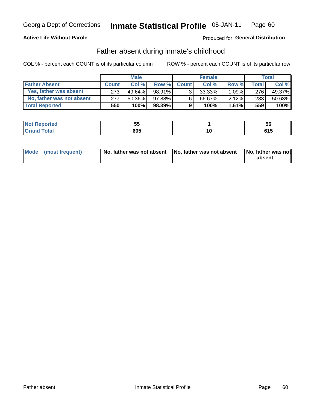## **Active Life Without Parole**

## Produced for General Distribution

## Father absent during inmate's childhood

COL % - percent each COUNT is of its particular column

|                           |              | <b>Male</b> |           |                | <b>Female</b> |          |         | Total   |
|---------------------------|--------------|-------------|-----------|----------------|---------------|----------|---------|---------|
| <b>Father Absent</b>      | <b>Count</b> | Col%        | Row %     | <b>Count</b>   | Col %         | Row %    | Total i | Col %   |
| Yes, father was absent    | 273          | $49.64\%$   | 98.91%    | 3 <sub>1</sub> | $33.33\%$     | $1.09\%$ | 276     | 49.37%  |
| No, father was not absent | 277          | 50.36%      | 97.88%    | 6              | 66.67%        | 2.12%    | 283     | 50.63%  |
| <b>Total Reported</b>     | 550          | 100%        | $98.39\%$ | 9              | 100%          | $1.61\%$ | 559     | $100\%$ |

| <b>Not Reported</b>        | --<br>◡ |    | ວເ    |
|----------------------------|---------|----|-------|
| <b>otal</b><br>Gran<br>uuu | 605     | л. | . . J |

|  | Mode (most frequent) | No, father was not absent No, father was not absent |  | No, father was not<br>absent |
|--|----------------------|-----------------------------------------------------|--|------------------------------|
|--|----------------------|-----------------------------------------------------|--|------------------------------|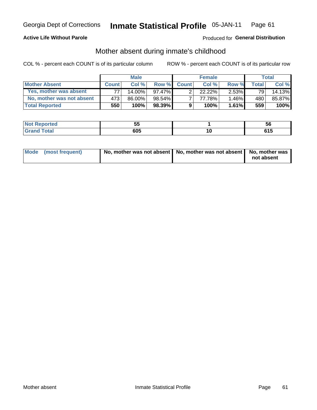## **Active Life Without Parole**

## Produced for General Distribution

## Mother absent during inmate's childhood

COL % - percent each COUNT is of its particular column

|                           |                  | <b>Male</b> |           |              | <b>Female</b> |          |       | Total  |
|---------------------------|------------------|-------------|-----------|--------------|---------------|----------|-------|--------|
| <b>Mother Absent</b>      | <b>Count</b>     | Col%        | Row %     | <b>Count</b> | Col%          | Row %    | Total | Col %  |
| Yes, mother was absent    | 77.              | 14.00%      | 97.47%    | ົ            | 22.22%        | $2.53\%$ | 791   | 14.13% |
| No, mother was not absent | 473              | 86.00%      | 98.54%I   |              | 77.78%        | $1.46\%$ | 480   | 85.87% |
| <b>Total Reported</b>     | 550 <sup>1</sup> | $100\%$     | $98.39\%$ | 9            | 100%          | 1.61%    | 559   | 100%   |

| اد د الس<br>≺eportea<br>NO | --<br>◡ | <b>JC</b>     |
|----------------------------|---------|---------------|
| <b>otal</b>                | 605     | C4 E<br>ט ו ט |

| Mode (most frequent) | No, mother was not absent   No, mother was not absent   No, mother was | not absent |
|----------------------|------------------------------------------------------------------------|------------|
|----------------------|------------------------------------------------------------------------|------------|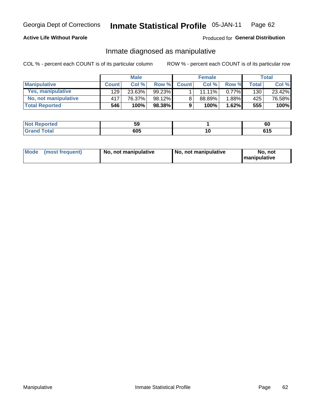## **Active Life Without Parole**

## Produced for General Distribution

## Inmate diagnosed as manipulative

COL % - percent each COUNT is of its particular column

|                          |              | <b>Male</b> |           |              | <b>Female</b> |          |              | Total  |
|--------------------------|--------------|-------------|-----------|--------------|---------------|----------|--------------|--------|
| <b>Manipulative</b>      | <b>Count</b> | Col%        | Row %     | <b>Count</b> | Col %         | Row %    | <b>Total</b> | Col %  |
| <b>Yes, manipulative</b> | 129          | 23.63%      | $99.23\%$ |              | $11.11\%$     | $0.77\%$ | 130          | 23.42% |
| No, not manipulative     | 417          | 76.37%      | 98.12%    | 8            | 88.89%        | 1.88%    | 425          | 76.58% |
| <b>Total Reported</b>    | 546          | 100%        | $98.38\%$ | 9            | 100%          | 1.62%    | 555          | 100%   |

| المنتبط المتعدد<br><b>eported</b> | --<br> |    | 60 |
|-----------------------------------|--------|----|----|
| <b>otal</b>                       | 605    | ιu | u  |

| <b>Mode</b><br>(most frequent) | No, not manipulative | No, not manipulative | No. not<br><b>I</b> manipulative |
|--------------------------------|----------------------|----------------------|----------------------------------|
|--------------------------------|----------------------|----------------------|----------------------------------|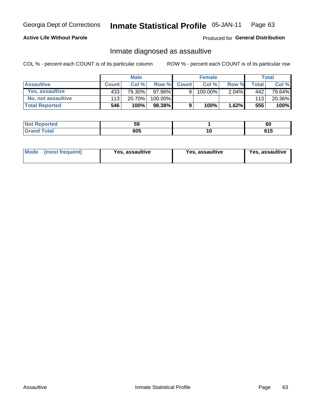#### **Inmate Statistical Profile 05-JAN-11** Page 63

## **Active Life Without Parole**

Produced for General Distribution

## Inmate diagnosed as assaultive

COL % - percent each COUNT is of its particular column

|                       |              | <b>Male</b> |         |              | <b>Female</b> |          |       | Total  |
|-----------------------|--------------|-------------|---------|--------------|---------------|----------|-------|--------|
| <b>Assaultive</b>     | <b>Count</b> | Col %       | Row %   | <b>Count</b> | Col %         | Row %    | Total | Col %  |
| Yes, assaultive       | 433          | 79.30%      | 97.96%  | 9            | 100.00%       | 2.04%    | 442   | 79.64% |
| No, not assaultive    | 113          | 20.70%      | 100.00% |              |               |          | 113   | 20.36% |
| <b>Total Reported</b> | 546          | 100%        | 98.38%  | 9            | 100%          | $1.62\%$ | 555   | 100%   |

| Reported<br>NO | --<br>JJ. | Ωú                  |
|----------------|-----------|---------------------|
| <b>otal</b>    | 605       | <b>CAF</b><br>ט ו ט |

| <b>Mode</b><br>(most frequent) | <b>Yes, assaultive</b> | Yes, assaultive | <b>Yes, assaultive</b> |
|--------------------------------|------------------------|-----------------|------------------------|
|--------------------------------|------------------------|-----------------|------------------------|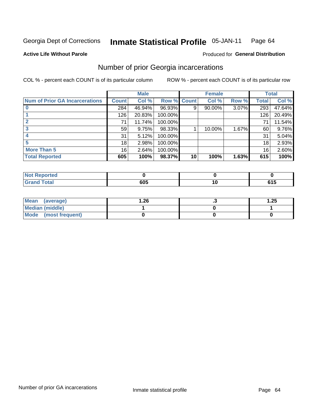#### **Inmate Statistical Profile 05-JAN-11** Page 64

### **Active Life Without Parole**

## **Produced for General Distribution**

## Number of prior Georgia incarcerations

COL % - percent each COUNT is of its particular column

|                                       |              | <b>Male</b> |                    |    | <b>Female</b> |       |       | <b>Total</b> |
|---------------------------------------|--------------|-------------|--------------------|----|---------------|-------|-------|--------------|
| <b>Num of Prior GA Incarcerations</b> | <b>Count</b> | Col %       | <b>Row % Count</b> |    | Col %         | Row % | Total | Col %        |
|                                       | 284          | 46.94%      | 96.93%             | 9  | 90.00%        | 3.07% | 293   | 47.64%       |
|                                       | 126          | 20.83%      | 100.00%            |    |               |       | 126   | 20.49%       |
|                                       | 71           | 11.74%      | 100.00%            |    |               |       | 71    | 11.54%       |
| 3                                     | 59           | 9.75%       | 98.33%             |    | 10.00%        | 1.67% | 60    | 9.76%        |
|                                       | 31           | 5.12%       | 100.00%            |    |               |       | 31    | 5.04%        |
| 5                                     | 18           | 2.98%       | 100.00%            |    |               |       | 18    | 2.93%        |
| <b>More Than 5</b>                    | 16           | 2.64%       | 100.00%            |    |               |       | 16    | 2.60%        |
| <b>Total Reported</b>                 | 605          | 100%        | 98.37%             | 10 | 100%          | 1.63% | 615   | 100%         |

| orted                           |      |              |
|---------------------------------|------|--------------|
| <b>otal</b><br>$\mathbf{v}$ and | 88 F | - - -<br>UIJ |

| Mean (average)       | 1.26 | . . | 1.25 |
|----------------------|------|-----|------|
| Median (middle)      |      |     |      |
| Mode (most frequent) |      |     |      |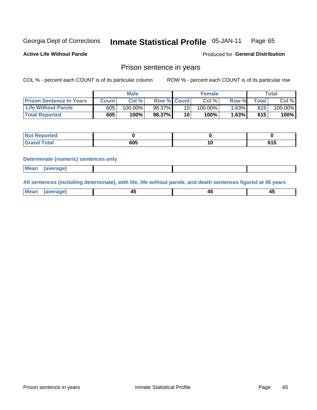#### Inmate Statistical Profile 05-JAN-11 Page 65

**Active Life Without Parole** 

Produced for General Distribution

## Prison sentence in years

COL % - percent each COUNT is of its particular column

ROW % - percent each COUNT is of its particular row

|                                 |       | <b>Male</b> |                    |                 | <b>Female</b> |       |       | $\tau$ otal |
|---------------------------------|-------|-------------|--------------------|-----------------|---------------|-------|-------|-------------|
| <b>Prison Sentence In Years</b> | Count | Col %       | <b>Row % Count</b> |                 | Col%          | Row % | Total | Col %       |
| <b>Life Without Parole</b>      | 605   | $100.00\%$  | 98.37%             | 10 <sub>1</sub> | $100.00\%$    | 1.63% | 615   | 100.00%     |
| <b>Total Reported</b>           | 605   | 100%        | 98.37%             | 10              | 100%          | 1.63% | 615   | 100%        |

| <b>Not Reported</b> |     |      |
|---------------------|-----|------|
| <b>otal</b>         | 605 | . וי |

#### **Determinate (numeric) sentences only**

| <b>Mean</b> | <i>(average)</i> |  |  |
|-------------|------------------|--|--|
|             |                  |  |  |

All sentences (including determinate), with life, life without parole, and death sentences figured at 45 years

| $M$ ea<br>(average) | $\sim$ | ,,<br>т. |
|---------------------|--------|----------|
|                     |        |          |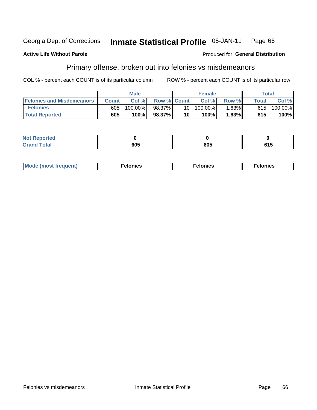#### **Inmate Statistical Profile 05-JAN-11** Georgia Dept of Corrections Page 66

#### **Active Life Without Parole**

### Produced for General Distribution

## Primary offense, broken out into felonies vs misdemeanors

COL % - percent each COUNT is of its particular column

|                                  |              | <b>Male</b> |                    |                 | <b>Female</b> |          | Total        |         |
|----------------------------------|--------------|-------------|--------------------|-----------------|---------------|----------|--------------|---------|
| <b>Felonies and Misdemeanors</b> | <b>Count</b> | Col %       | <b>Row % Count</b> |                 | Col%          | Row %    | <b>Total</b> | Col %   |
| <b>Felonies</b>                  | 605          | 100.00%     | 98.37%             | 10 I            | 100.00%       | $1.63\%$ | 615          | 100.00% |
| <b>Total Reported</b>            | 605          | 100%        | 98.37%             | 10 <sup>1</sup> | 100%          | $.63\%$  | 615          | 100%    |

| <b>Not Reported</b>          |         |     |     |
|------------------------------|---------|-----|-----|
| <b>Total</b><br>Grand<br>uuu | <br>ນບວ | 605 | 615 |

| $Mc$<br>equent)<br>нез<br>$\sim$<br>. | onies<br>. | <b>onies</b><br>. |
|---------------------------------------|------------|-------------------|
|---------------------------------------|------------|-------------------|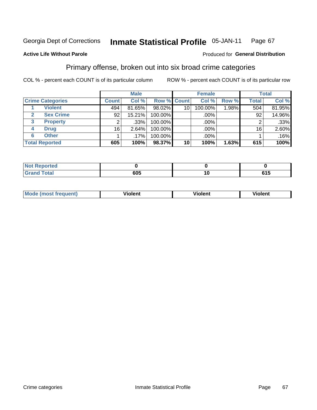#### **Inmate Statistical Profile 05-JAN-11** Page 67

## **Active Life Without Parole**

### Produced for General Distribution

## Primary offense, broken out into six broad crime categories

COL % - percent each COUNT is of its particular column

|                                  | <b>Male</b>  |         |             | <b>Female</b>   |         |       | <b>Total</b> |        |  |
|----------------------------------|--------------|---------|-------------|-----------------|---------|-------|--------------|--------|--|
| <b>Crime Categories</b>          | <b>Count</b> | Col %   | Row % Count |                 | Col %   | Row % | <b>Total</b> | Col %  |  |
| <b>Violent</b>                   | 494          | 81.65%  | 98.02%      | 10 <sup>1</sup> | 100.00% | 1.98% | 504          | 81.95% |  |
| <b>Sex Crime</b><br>$\mathbf{2}$ | 92           | 15.21%  | 100.00%     |                 | .00%    |       | 92           | 14.96% |  |
| 3<br><b>Property</b>             | 2            | .33%    | 100.00%     |                 | .00%    |       |              | .33%   |  |
| <b>Drug</b><br>4                 | 16           | 2.64%   | 100.00%     |                 | .00%    |       | 16           | 2.60%  |  |
| <b>Other</b><br>6                |              | $.17\%$ | 100.00%     |                 | .00%    |       |              | .16%   |  |
| <b>Total Reported</b>            | 605          | 100%    | 98.37%      | 10 <sup>1</sup> | 100%    | 1.63% | 615          | 100%   |  |

| <b>Not Reported</b> |     |    |          |
|---------------------|-----|----|----------|
| <b>Total</b>        | 605 | ιu | .<br>615 |

|  | Mc | ---<br>ж<br> | วlent | ent |
|--|----|--------------|-------|-----|
|--|----|--------------|-------|-----|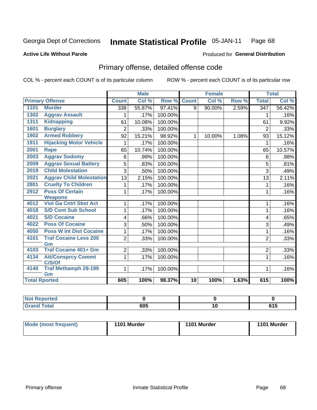#### Inmate Statistical Profile 05-JAN-11 Page 68

## **Active Life Without Parole**

## **Produced for General Distribution**

## Primary offense, detailed offense code

COL % - percent each COUNT is of its particular column

|      |                                     |                | <b>Male</b> |         |                 | <b>Female</b> |       |                  | <b>Total</b> |
|------|-------------------------------------|----------------|-------------|---------|-----------------|---------------|-------|------------------|--------------|
|      | <b>Primary Offense</b>              | <b>Count</b>   | Col %       | Row %   | <b>Count</b>    | Col %         | Row % | <b>Total</b>     | Col %        |
| 1101 | <b>Murder</b>                       | 338            | 55.87%      | 97.41%  | 9               | 90.00%        | 2.59% | $\overline{347}$ | 56.42%       |
| 1302 | <b>Aggrav Assault</b>               |                | .17%        | 100.00% |                 |               |       | 1                | .16%         |
| 1311 | <b>Kidnapping</b>                   | 61             | 10.08%      | 100.00% |                 |               |       | 61               | 9.92%        |
| 1601 | <b>Burglary</b>                     | $\overline{2}$ | .33%        | 100.00% |                 |               |       | $\overline{2}$   | .33%         |
| 1902 | <b>Armed Robbery</b>                | 92             | 15.21%      | 98.92%  | $\mathbf{1}$    | 10.00%        | 1.08% | 93               | 15.12%       |
| 1911 | <b>Hijacking Motor Vehicle</b>      |                | .17%        | 100.00% |                 |               |       | 1                | .16%         |
| 2001 | Rape                                | 65             | 10.74%      | 100.00% |                 |               |       | 65               | 10.57%       |
| 2003 | <b>Aggrav Sodomy</b>                | 6              | .99%        | 100.00% |                 |               |       | 6                | .98%         |
| 2009 | <b>Aggrav Sexual Battery</b>        | 5              | .83%        | 100.00% |                 |               |       | 5                | .81%         |
| 2019 | <b>Child Molestation</b>            | 3              | .50%        | 100.00% |                 |               |       | 3                | .49%         |
| 2021 | <b>Aggrav Child Molestation</b>     | 13             | 2.15%       | 100.00% |                 |               |       | 13               | 2.11%        |
| 2801 | <b>Cruelty To Children</b>          |                | .17%        | 100.00% |                 |               |       | 1                | .16%         |
| 2912 | <b>Poss Of Certain</b>              | 1              | .17%        | 100.00% |                 |               |       | 1                | .16%         |
|      | <b>Weapons</b>                      |                |             |         |                 |               |       |                  |              |
| 4012 | <b>Viol Ga Cntrl Sbst Act</b>       | 1              | .17%        | 100.00% |                 |               |       | 1                | .16%         |
| 4018 | <b>S/D Cont Sub School</b>          | 1              | .17%        | 100.00% |                 |               |       | 1                | .16%         |
| 4021 | <b>S/D Cocaine</b>                  | 4              | .66%        | 100.00% |                 |               |       | 4                | .65%         |
| 4022 | <b>Poss Of Cocaine</b>              | 3              | .50%        | 100.00% |                 |               |       | 3                | .49%         |
| 4050 | <b>Poss W Int Dist Cocaine</b>      | 1              | .17%        | 100.00% |                 |               |       | 1                | .16%         |
| 4101 | <b>Traf Cocaine Less 200</b>        | $\overline{2}$ | .33%        | 100.00% |                 |               |       | $\overline{2}$   | .33%         |
| 4103 | Gm<br><b>Traf Cocaine 401+ Gm</b>   | $\overline{2}$ | .33%        | 100.00% |                 |               |       | 2                | .33%         |
| 4134 |                                     |                |             | 100.00% |                 |               |       | $\mathbf{1}$     |              |
|      | <b>Att/Consprcy Commt</b><br>C/S/Of | 1              | .17%        |         |                 |               |       |                  | .16%         |
| 4140 | <b>Traf Methamph 28-199</b>         | 1              | .17%        | 100.00% |                 |               |       | 1                | .16%         |
|      | Gm                                  |                |             |         |                 |               |       |                  |              |
|      | <b>Total Rported</b>                | 605            | 100%        | 98.37%  | $\overline{10}$ | 100%          | 1.63% | 615              | 100%         |

| eported<br>n n |     |                 |
|----------------|-----|-----------------|
| <b>Total</b>   | 605 | ra E<br><b></b> |

| Mode (most frequent) | 1101 Murder | 1101 Murder | 1101 Murder |
|----------------------|-------------|-------------|-------------|
|                      |             |             |             |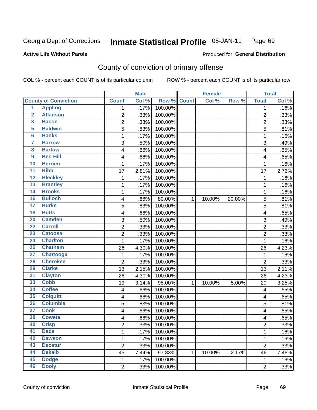#### Inmate Statistical Profile 05-JAN-11 Page 69

### **Active Life Without Parole**

## Produced for General Distribution

## County of conviction of primary offense

COL % - percent each COUNT is of its particular column

|                         |                             |                         | <b>Male</b> |             |             | <b>Female</b> |        |                         | <b>Total</b> |
|-------------------------|-----------------------------|-------------------------|-------------|-------------|-------------|---------------|--------|-------------------------|--------------|
|                         | <b>County of Conviction</b> | <b>Count</b>            | Col %       | Row % Count |             | Col %         | Row %  | <b>Total</b>            | Col %        |
| $\overline{1}$          | <b>Appling</b>              | 1                       | .17%        | 100.00%     |             |               |        | 1                       | .16%         |
| $\overline{2}$          | <b>Atkinson</b>             | $\overline{2}$          | .33%        | 100.00%     |             |               |        | $\overline{2}$          | .33%         |
| 3                       | <b>Bacon</b>                | $\overline{2}$          | .33%        | 100.00%     |             |               |        | $\overline{2}$          | .33%         |
| 5                       | <b>Baldwin</b>              | $\overline{5}$          | .83%        | 100.00%     |             |               |        | 5                       | .81%         |
| 6                       | <b>Banks</b>                | 1                       | .17%        | 100.00%     |             |               |        | 1                       | .16%         |
| $\overline{\mathbf{7}}$ | <b>Barrow</b>               | 3                       | .50%        | 100.00%     |             |               |        | 3                       | .49%         |
| 8                       | <b>Bartow</b>               | 4                       | .66%        | 100.00%     |             |               |        | 4                       | .65%         |
| 9                       | <b>Ben Hill</b>             | 4                       | .66%        | 100.00%     |             |               |        | 4                       | .65%         |
| 10                      | <b>Berrien</b>              | 1                       | .17%        | 100.00%     |             |               |        | 1                       | .16%         |
| $\overline{11}$         | <b>Bibb</b>                 | 17                      | 2.81%       | 100.00%     |             |               |        | 17                      | 2.76%        |
| $\overline{12}$         | <b>Bleckley</b>             | $\mathbf 1$             | .17%        | 100.00%     |             |               |        | 1                       | .16%         |
| 13                      | <b>Brantley</b>             | 1                       | .17%        | 100.00%     |             |               |        | 1                       | .16%         |
| 14                      | <b>Brooks</b>               | 1                       | .17%        | 100.00%     |             |               |        | 1                       | .16%         |
| 16                      | <b>Bulloch</b>              | 4                       | .66%        | 80.00%      | $\mathbf 1$ | 10.00%        | 20.00% | 5                       | .81%         |
| $\overline{17}$         | <b>Burke</b>                | 5                       | .83%        | 100.00%     |             |               |        | 5                       | .81%         |
| 18                      | <b>Butts</b>                | 4                       | .66%        | 100.00%     |             |               |        | 4                       | .65%         |
| $\overline{20}$         | <b>Camden</b>               | 3                       | .50%        | 100.00%     |             |               |        | 3                       | .49%         |
| $\overline{22}$         | <b>Carroll</b>              | $\overline{c}$          | .33%        | 100.00%     |             |               |        | $\overline{c}$          | .33%         |
| 23                      | <b>Catoosa</b>              | $\overline{2}$          | .33%        | 100.00%     |             |               |        | $\overline{2}$          | .33%         |
| $\overline{24}$         | <b>Charlton</b>             | 1                       | .17%        | 100.00%     |             |               |        | 1                       | .16%         |
| $\overline{25}$         | <b>Chatham</b>              | 26                      | 4.30%       | 100.00%     |             |               |        | 26                      | 4.23%        |
| $\overline{27}$         | <b>Chattooga</b>            | 1                       | .17%        | 100.00%     |             |               |        | $\mathbf 1$             | .16%         |
| 28                      | <b>Cherokee</b>             | $\overline{2}$          | .33%        | 100.00%     |             |               |        | $\overline{2}$          | .33%         |
| 29                      | <b>Clarke</b>               | 13                      | 2.15%       | 100.00%     |             |               |        | 13                      | 2.11%        |
| $\overline{31}$         | <b>Clayton</b>              | 26                      | 4.30%       | 100.00%     |             |               |        | 26                      | 4.23%        |
| 33                      | <b>Cobb</b>                 | 19                      | 3.14%       | 95.00%      | 1           | 10.00%        | 5.00%  | 20                      | 3.25%        |
| 34                      | <b>Coffee</b>               | 4                       | .66%        | 100.00%     |             |               |        | 4                       | .65%         |
| 35                      | <b>Colquitt</b>             | 4                       | .66%        | 100.00%     |             |               |        | 4                       | .65%         |
| 36                      | <b>Columbia</b>             | 5                       | .83%        | 100.00%     |             |               |        | 5                       | .81%         |
| $\overline{37}$         | <b>Cook</b>                 | 4                       | .66%        | 100.00%     |             |               |        | 4                       | .65%         |
| 38                      | <b>Coweta</b>               | 4                       | .66%        | 100.00%     |             |               |        | 4                       | .65%         |
| 40                      | <b>Crisp</b>                | $\overline{\mathbf{c}}$ | .33%        | 100.00%     |             |               |        | $\overline{\mathbf{c}}$ | .33%         |
| 41                      | <b>Dade</b>                 | 1                       | .17%        | 100.00%     |             |               |        | $\mathbf{1}$            | .16%         |
| 42                      | <b>Dawson</b>               | 1                       | .17%        | 100.00%     |             |               |        | 1                       | .16%         |
| 43                      | <b>Decatur</b>              | $\overline{2}$          | .33%        | 100.00%     |             |               |        | $\overline{c}$          | .33%         |
| 44                      | <b>Dekalb</b>               | 45                      | 7.44%       | 97.83%      | 1           | 10.00%        | 2.17%  | 46                      | 7.48%        |
| 45                      | <b>Dodge</b>                | $\mathbf{1}$            | .17%        | 100.00%     |             |               |        | 1                       | .16%         |
| 46                      | <b>Dooly</b>                | $\overline{2}$          | .33%        | 100.00%     |             |               |        | $\overline{2}$          | .33%         |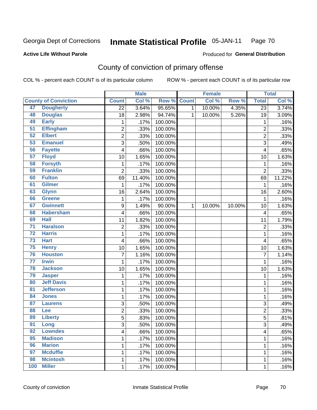#### **Inmate Statistical Profile 05-JAN-11** Page 70

### **Active Life Without Parole**

### Produced for General Distribution

## County of conviction of primary offense

COL % - percent each COUNT is of its particular column

|                 |                             |                 | <b>Male</b> |         |              | <b>Female</b> |        |                 | <b>Total</b> |
|-----------------|-----------------------------|-----------------|-------------|---------|--------------|---------------|--------|-----------------|--------------|
|                 | <b>County of Conviction</b> | <b>Count</b>    | Col %       | Row %   | <b>Count</b> | Col %         | Row %  | <b>Total</b>    | Col %        |
| 47              | <b>Dougherty</b>            | $\overline{22}$ | 3.64%       | 95.65%  | $\mathbf 1$  | 10.00%        | 4.35%  | $\overline{23}$ | 3.74%        |
| 48              | <b>Douglas</b>              | 18              | 2.98%       | 94.74%  | 1            | 10.00%        | 5.26%  | 19              | 3.09%        |
| 49              | <b>Early</b>                | 1               | .17%        | 100.00% |              |               |        | 1               | .16%         |
| 51              | <b>Effingham</b>            | $\overline{c}$  | .33%        | 100.00% |              |               |        | $\overline{2}$  | .33%         |
| 52              | <b>Elbert</b>               | $\overline{c}$  | .33%        | 100.00% |              |               |        | $\overline{c}$  | .33%         |
| 53              | <b>Emanuel</b>              | 3               | .50%        | 100.00% |              |               |        | $\overline{3}$  | .49%         |
| 56              | <b>Fayette</b>              | 4               | .66%        | 100.00% |              |               |        | 4               | .65%         |
| 57              | <b>Floyd</b>                | 10              | 1.65%       | 100.00% |              |               |        | 10              | 1.63%        |
| 58              | <b>Forsyth</b>              | 1               | .17%        | 100.00% |              |               |        | $\mathbf{1}$    | .16%         |
| 59              | <b>Franklin</b>             | $\overline{2}$  | .33%        | 100.00% |              |               |        | $\overline{2}$  | .33%         |
| 60              | <b>Fulton</b>               | 69              | 11.40%      | 100.00% |              |               |        | 69              | 11.22%       |
| 61              | <b>Gilmer</b>               | 1               | .17%        | 100.00% |              |               |        | 1               | .16%         |
| 63              | <b>Glynn</b>                | 16              | 2.64%       | 100.00% |              |               |        | 16              | 2.60%        |
| 66              | Greene                      | 1               | .17%        | 100.00% |              |               |        | $\mathbf{1}$    | .16%         |
| 67              | <b>Gwinnett</b>             | 9               | 1.49%       | 90.00%  | $\mathbf 1$  | 10.00%        | 10.00% | 10              | 1.63%        |
| 68              | <b>Habersham</b>            | 4               | .66%        | 100.00% |              |               |        | 4               | .65%         |
| 69              | <b>Hall</b>                 | 11              | 1.82%       | 100.00% |              |               |        | 11              | 1.79%        |
| $\overline{71}$ | <b>Haralson</b>             | $\overline{2}$  | .33%        | 100.00% |              |               |        | $\overline{2}$  | .33%         |
| $\overline{72}$ | <b>Harris</b>               | $\mathbf 1$     | .17%        | 100.00% |              |               |        | $\mathbf{1}$    | .16%         |
| $\overline{73}$ | <b>Hart</b>                 | 4               | .66%        | 100.00% |              |               |        | 4               | .65%         |
| 75              | <b>Henry</b>                | 10              | 1.65%       | 100.00% |              |               |        | 10              | 1.63%        |
| 76              | <b>Houston</b>              | $\overline{7}$  | 1.16%       | 100.00% |              |               |        | $\overline{7}$  | 1.14%        |
| $\overline{77}$ | <b>Irwin</b>                | 1               | .17%        | 100.00% |              |               |        | $\mathbf 1$     | .16%         |
| 78              | <b>Jackson</b>              | 10              | 1.65%       | 100.00% |              |               |        | 10              | 1.63%        |
| 79              | <b>Jasper</b>               | 1               | .17%        | 100.00% |              |               |        | $\mathbf{1}$    | .16%         |
| 80              | <b>Jeff Davis</b>           | 1               | .17%        | 100.00% |              |               |        | 1               | .16%         |
| 81              | <b>Jefferson</b>            | 1               | .17%        | 100.00% |              |               |        | 1               | .16%         |
| 84              | <b>Jones</b>                | 1               | .17%        | 100.00% |              |               |        | 1               | .16%         |
| 87              | <b>Laurens</b>              | 3               | .50%        | 100.00% |              |               |        | 3               | .49%         |
| 88              | Lee                         | $\overline{c}$  | .33%        | 100.00% |              |               |        | $\overline{2}$  | .33%         |
| 89              | <b>Liberty</b>              | 5               | .83%        | 100.00% |              |               |        | $\overline{5}$  | .81%         |
| 91              | Long                        | 3               | .50%        | 100.00% |              |               |        | 3               | .49%         |
| 92              | <b>Lowndes</b>              | 4               | .66%        | 100.00% |              |               |        | 4               | .65%         |
| 95              | <b>Madison</b>              | $\mathbf 1$     | .17%        | 100.00% |              |               |        | $\mathbf 1$     | .16%         |
| 96              | <b>Marion</b>               | 1               | .17%        | 100.00% |              |               |        | $\mathbf{1}$    | .16%         |
| 97              | <b>Mcduffie</b>             | 1               | .17%        | 100.00% |              |               |        | 1               | .16%         |
| 98              | <b>Mcintosh</b>             | 1               | .17%        | 100.00% |              |               |        | 1               | .16%         |
| 100             | <b>Miller</b>               | $\mathbf 1$     | .17%        | 100.00% |              |               |        | $\mathbf{1}$    | .16%         |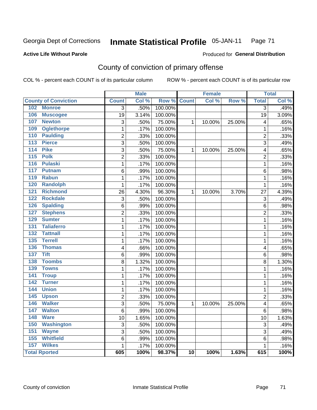#### **Inmate Statistical Profile 05-JAN-11** Page 71

### **Active Life Without Parole**

### Produced for General Distribution

## County of conviction of primary offense

COL % - percent each COUNT is of its particular column

|                                    |                 | <b>Male</b> |         |                 | <b>Female</b> |        |                | <b>Total</b> |
|------------------------------------|-----------------|-------------|---------|-----------------|---------------|--------|----------------|--------------|
| <b>County of Conviction</b>        | <b>Count</b>    | Col %       | Row %   | <b>Count</b>    | Col %         | Row %  | <b>Total</b>   | Col %        |
| 102 Monroe                         | $\overline{3}$  | .50%        | 100.00% |                 |               |        | $\overline{3}$ | .49%         |
| 106<br><b>Muscogee</b>             | $\overline{19}$ | 3.14%       | 100.00% |                 |               |        | 19             | 3.09%        |
| 107<br><b>Newton</b>               | 3               | .50%        | 75.00%  | $\mathbf{1}$    | 10.00%        | 25.00% | 4              | .65%         |
| 109<br><b>Oglethorpe</b>           | $\mathbf 1$     | .17%        | 100.00% |                 |               |        | $\mathbf 1$    | .16%         |
| 110<br><b>Paulding</b>             | $\overline{c}$  | .33%        | 100.00% |                 |               |        | $\overline{c}$ | .33%         |
| 113<br><b>Pierce</b>               | 3               | .50%        | 100.00% |                 |               |        | 3              | .49%         |
| 114<br><b>Pike</b>                 | 3               | .50%        | 75.00%  | $\mathbf{1}$    | 10.00%        | 25.00% | 4              | .65%         |
| <b>Polk</b><br>115                 | $\overline{2}$  | .33%        | 100.00% |                 |               |        | $\overline{2}$ | .33%         |
| 116<br><b>Pulaski</b>              | $\mathbf{1}$    | .17%        | 100.00% |                 |               |        | 1              | .16%         |
| 117<br><b>Putnam</b>               | 6               | .99%        | 100.00% |                 |               |        | 6              | .98%         |
| <b>Rabun</b><br>119                | $\mathbf{1}$    | .17%        | 100.00% |                 |               |        | $\mathbf{1}$   | .16%         |
| <b>Randolph</b><br>120             | $\mathbf 1$     | .17%        | 100.00% |                 |               |        | $\mathbf{1}$   | .16%         |
| <b>Richmond</b><br>121             | 26              | 4.30%       | 96.30%  | $\mathbf{1}$    | 10.00%        | 3.70%  | 27             | 4.39%        |
| 122<br><b>Rockdale</b>             | 3               | .50%        | 100.00% |                 |               |        | 3              | .49%         |
| <b>Spalding</b><br>126             | 6               | .99%        | 100.00% |                 |               |        | 6              | .98%         |
| <b>Stephens</b><br>127             | $\overline{2}$  | .33%        | 100.00% |                 |               |        | $\overline{2}$ | .33%         |
| <b>Sumter</b><br>129               | 1               | .17%        | 100.00% |                 |               |        | 1              | .16%         |
| <b>Taliaferro</b><br>131           | $\mathbf{1}$    | .17%        | 100.00% |                 |               |        | 1              | .16%         |
| <b>Tattnall</b><br>132             | $\mathbf{1}$    | .17%        | 100.00% |                 |               |        | $\mathbf{1}$   | .16%         |
| <b>Terrell</b><br>$\overline{135}$ | $\mathbf{1}$    | .17%        | 100.00% |                 |               |        | $\mathbf{1}$   | .16%         |
| 136<br><b>Thomas</b>               | 4               | .66%        | 100.00% |                 |               |        | 4              | .65%         |
| <b>Tift</b><br>$\overline{137}$    | 6               | .99%        | 100.00% |                 |               |        | 6              | .98%         |
| <b>Toombs</b><br>138               | $\overline{8}$  | 1.32%       | 100.00% |                 |               |        | $\overline{8}$ | 1.30%        |
| 139<br><b>Towns</b>                | $\mathbf 1$     | .17%        | 100.00% |                 |               |        | $\mathbf{1}$   | .16%         |
| 141<br><b>Troup</b>                | $\mathbf 1$     | .17%        | 100.00% |                 |               |        | $\mathbf 1$    | .16%         |
| 142<br><b>Turner</b>               | $\mathbf 1$     | .17%        | 100.00% |                 |               |        | $\mathbf 1$    | .16%         |
| <b>Union</b><br>144                | $\mathbf 1$     | .17%        | 100.00% |                 |               |        | $\mathbf 1$    | .16%         |
| 145<br><b>Upson</b>                | $\overline{2}$  | .33%        | 100.00% |                 |               |        | $\overline{2}$ | .33%         |
| <b>Walker</b><br>146               | 3               | .50%        | 75.00%  | 1               | 10.00%        | 25.00% | 4              | .65%         |
| 147<br><b>Walton</b>               | 6               | .99%        | 100.00% |                 |               |        | 6              | .98%         |
| <b>Ware</b><br>148                 | 10              | 1.65%       | 100.00% |                 |               |        | 10             | 1.63%        |
| 150<br><b>Washington</b>           | 3               | .50%        | 100.00% |                 |               |        | 3              | .49%         |
| 151<br><b>Wayne</b>                | 3               | .50%        | 100.00% |                 |               |        | 3              | .49%         |
| <b>Whitfield</b><br>155            | 6               | .99%        | 100.00% |                 |               |        | 6              | .98%         |
| <b>Wilkes</b><br>157               | $\mathbf{1}$    | .17%        | 100.00% |                 |               |        | $\mathbf{1}$   | .16%         |
| <b>Total Rported</b>               | 605             | 100%        | 98.37%  | $\overline{10}$ | 100%          | 1.63%  | 615            | 100%         |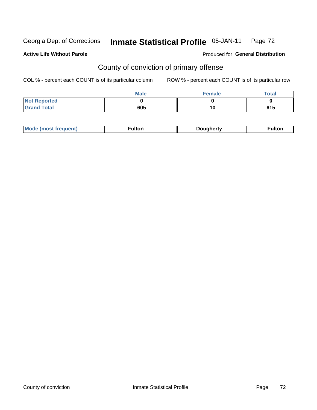#### **Inmate Statistical Profile 05-JAN-11** Page 72

### **Active Life Without Parole**

### Produced for General Distribution

## County of conviction of primary offense

COL % - percent each COUNT is of its particular column

|                     | <b>Male</b> | <b>Female</b> | <b>Total</b> |
|---------------------|-------------|---------------|--------------|
| <b>Not Reported</b> |             |               |              |
| <b>Grand Total</b>  | 605         | 10            | 615          |

| <b>Mo</b><br><b>ultor</b><br>Douaherty<br>. . <b>. .</b><br>rowenn<br>751<br>-unon. |
|-------------------------------------------------------------------------------------|
|-------------------------------------------------------------------------------------|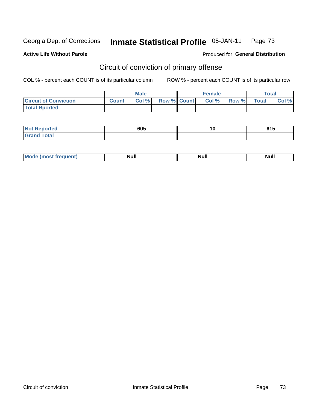Georgia Dept of Corrections

#### **Inmate Statistical Profile 05-JAN-11** Page 73

### **Active Life Without Parole**

## **Produced for General Distribution**

# Circuit of conviction of primary offense

COL % - percent each COUNT is of its particular column

|                              | <b>Male</b>  |       |                    | Female |       |       | <b>Total</b> |       |
|------------------------------|--------------|-------|--------------------|--------|-------|-------|--------------|-------|
| <b>Circuit of Conviction</b> | <b>Count</b> | Col % | <b>Row % Count</b> |        | Col % | Row % | <b>Total</b> | Col % |
| <b>Total Rported</b>         |              |       |                    |        |       |       |              |       |

| <b>Not Reported</b>   | 605 | . .<br>1 V | <b>CAF</b><br>טוט |
|-----------------------|-----|------------|-------------------|
| <b>Total</b><br>Grand |     |            |                   |

| <b>Mode</b><br>frequent)<br>. | <b>Null</b> | <b>Nul</b> ı<br>------ | <b>Null</b> |
|-------------------------------|-------------|------------------------|-------------|
|-------------------------------|-------------|------------------------|-------------|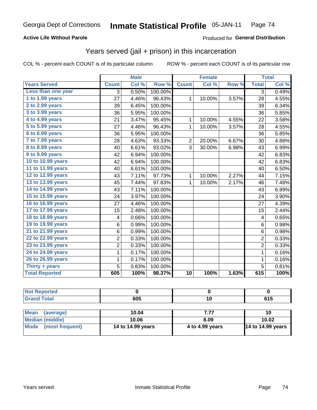## **Active Life Without Parole**

### Produced for General Distribution

# Years served (jail + prison) in this incarceration

COL % - percent each COUNT is of its particular column

|                       |                | <b>Male</b> |         |                 | <b>Female</b> |       |                         | <b>Total</b> |
|-----------------------|----------------|-------------|---------|-----------------|---------------|-------|-------------------------|--------------|
| <b>Years Served</b>   | <b>Count</b>   | Col %       | Row %   | <b>Count</b>    | Col %         | Row % | <b>Total</b>            | Col %        |
| Less than one year    | 3              | 0.50%       | 100.00% |                 |               |       | $\overline{3}$          | 0.49%        |
| 1 to 1.99 years       | 27             | 4.46%       | 96.43%  | $\mathbf{1}$    | 10.00%        | 3.57% | 28                      | 4.55%        |
| 2 to 2.99 years       | 39             | 6.45%       | 100.00% |                 |               |       | 39                      | 6.34%        |
| 3 to 3.99 years       | 36             | 5.95%       | 100.00% |                 |               |       | 36                      | 5.85%        |
| 4 to 4.99 years       | 21             | 3.47%       | 95.45%  | $\mathbf{1}$    | 10.00%        | 4.55% | 22                      | 3.58%        |
| 5 to 5.99 years       | 27             | 4.46%       | 96.43%  | $\mathbf{1}$    | 10.00%        | 3.57% | 28                      | 4.55%        |
| 6 to 6.99 years       | 36             | 5.95%       | 100.00% |                 |               |       | 36                      | 5.85%        |
| 7 to 7.99 years       | 28             | 4.63%       | 93.33%  | $\overline{2}$  | 20.00%        | 6.67% | 30                      | 4.88%        |
| 8 to 8.99 years       | 40             | 6.61%       | 93.02%  | 3               | 30.00%        | 6.98% | 43                      | 6.99%        |
| 9 to 9.99 years       | 42             | 6.94%       | 100.00% |                 |               |       | 42                      | 6.83%        |
| 10 to 10.99 years     | 42             | 6.94%       | 100.00% |                 |               |       | 42                      | 6.83%        |
| 11 to 11.99 years     | 40             | 6.61%       | 100.00% |                 |               |       | 40                      | 6.50%        |
| 12 to 12.99 years     | 43             | 7.11%       | 97.73%  | $\mathbf 1$     | 10.00%        | 2.27% | 44                      | 7.15%        |
| 13 to 13.99 years     | 45             | 7.44%       | 97.83%  | $\mathbf{1}$    | 10.00%        | 2.17% | 46                      | 7.48%        |
| 14 to 14.99 years     | 43             | 7.11%       | 100.00% |                 |               |       | 43                      | 6.99%        |
| 15 to 15.99 years     | 24             | 3.97%       | 100.00% |                 |               |       | 24                      | 3.90%        |
| 16 to 16.99 years     | 27             | 4.46%       | 100.00% |                 |               |       | 27                      | 4.39%        |
| 17 to 17.99 years     | 15             | 2.48%       | 100.00% |                 |               |       | 15                      | 2.44%        |
| 18 to 18.99 years     | 4              | 0.66%       | 100.00% |                 |               |       | $\overline{\mathbf{4}}$ | 0.65%        |
| 19 to 19.99 years     | 6              | 0.99%       | 100.00% |                 |               |       | 6                       | 0.98%        |
| 21 to 21.99 years     | 6              | 0.99%       | 100.00% |                 |               |       | $6\phantom{1}$          | 0.98%        |
| 22 to 22.99 years     | $\overline{2}$ | 0.33%       | 100.00% |                 |               |       | $\overline{2}$          | 0.33%        |
| 23 to 23.99 years     | $\overline{c}$ | 0.33%       | 100.00% |                 |               |       | $\overline{2}$          | 0.33%        |
| 24 to 24.99 years     | 1              | 0.17%       | 100.00% |                 |               |       | $\mathbf{1}$            | 0.16%        |
| 26 to 26.99 years     | 1              | 0.17%       | 100.00% |                 |               |       | 1                       | 0.16%        |
| Thirty + years        | 5              | 0.83%       | 100.00% |                 |               |       | $\overline{5}$          | 0.81%        |
| <b>Total Reported</b> | 605            | 100%        | 98.37%  | $\overline{10}$ | 100%          | 1.63% | 615                     | 100%         |

| <b>Not Reported</b>      |                   |                 |                   |
|--------------------------|-------------------|-----------------|-------------------|
| <b>Grand Total</b>       | 605               | 10              | 615               |
|                          |                   |                 |                   |
| <b>Mean</b><br>(average) | 10.04             | 7.77            | 10                |
| <b>Median (middle)</b>   | 10.06             | 8.09            | 10.02             |
| Mode (most frequent)     | 14 to 14.99 years | 4 to 4.99 years | 14 to 14.99 years |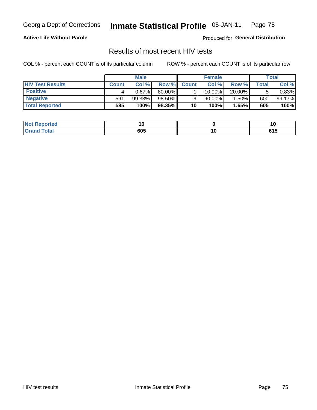Georgia Dept of Corrections

#### **Inmate Statistical Profile 05-JAN-11** Page 75

### **Active Life Without Parole**

Produced for General Distribution

## Results of most recent HIV tests

COL % - percent each COUNT is of its particular column

|                         | <b>Male</b>  |        |        |              | <b>Female</b> | Total  |       |        |
|-------------------------|--------------|--------|--------|--------------|---------------|--------|-------|--------|
| <b>HIV Test Results</b> | <b>Count</b> | Col%   | Row %I | <b>Count</b> | Col%          | Row %  | Total | Col %  |
| <b>Positive</b>         |              | 0.67%  | 80.00% |              | 10.00%        | 20.00% |       | 0.83%  |
| <b>Negative</b>         | 591          | 99.33% | 98.50% |              | $90.00\%$     | 1.50%  | 600   | 99.17% |
| <b>Total Reported</b>   | 595          | 100%   | 98.35% | 10           | 100%          | 1.65%  | 605   | 100%   |

| <b>Not Reported</b> |     |               |
|---------------------|-----|---------------|
| <b>Total</b>        | 605 | CA E<br>ט ו ט |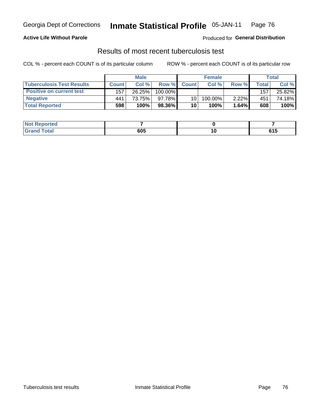#### **Inmate Statistical Profile 05-JAN-11** Page 76

## **Active Life Without Parole**

Produced for General Distribution

## Results of most recent tuberculosis test

COL % - percent each COUNT is of its particular column

|                                  | <b>Male</b>  |        |            |              | <b>Female</b> | Total    |       |        |
|----------------------------------|--------------|--------|------------|--------------|---------------|----------|-------|--------|
| <b>Tuberculosis Test Results</b> | <b>Count</b> | Col%   | Row %I     | <b>Count</b> | Col %         | Row %    | Total | Col %  |
| <b>Positive on current test</b>  | 157          | 26.25% | $100.00\%$ |              |               |          | 157   | 25.82% |
| <b>Negative</b>                  | 441          | 73.75% | 97.78%     | 10           | 100.00%       | $2.22\%$ | 451   | 74.18% |
| <b>Total Reported</b>            | 598          | 100%   | 98.36%     | 10           | 100%          | 1.64%    | 608   | 100%   |

| <b>Not Reported</b>     |     |        |                      |
|-------------------------|-----|--------|----------------------|
| <b>Total</b><br>. Grori | 605 | $\sim$ | CA F<br><b>v</b> I J |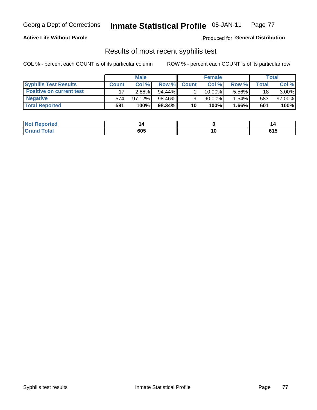#### **Inmate Statistical Profile 05-JAN-11** Page 77

### **Active Life Without Parole**

Produced for General Distribution

## Results of most recent syphilis test

COL % - percent each COUNT is of its particular column

|                                 | <b>Male</b>  |          |           |              | <b>Female</b> | Total    |       |          |
|---------------------------------|--------------|----------|-----------|--------------|---------------|----------|-------|----------|
| <b>Syphilis Test Results</b>    | <b>Count</b> | Col%     | Row %I    | <b>Count</b> | Col %         | Row %    | Total | Col %    |
| <b>Positive on current test</b> |              | $2.88\%$ | $94.44\%$ |              | 10.00%        | 5.56%    | 18    | $3.00\%$ |
| <b>Negative</b>                 | 574          | 97.12%   | 98.46%    |              | 90.00%        | $1.54\%$ | 583   | 97.00%   |
| <b>Total Reported</b>           | 591          | 100%     | $98.34\%$ | 10           | 100%          | l.66%l   | 601   | 100%     |

| <b>Not Reported</b> |     |        |                     |
|---------------------|-----|--------|---------------------|
| <b>Total</b>        | 605 | $\sim$ | <b>CAF</b><br>U I J |